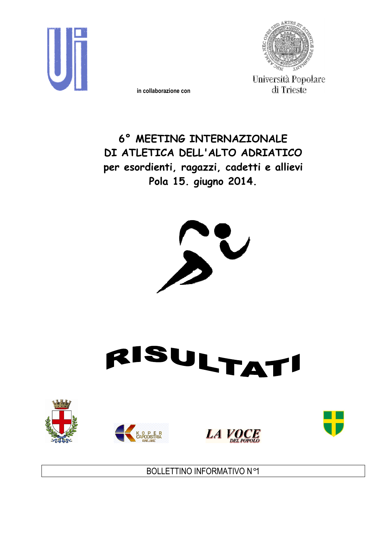

in collaborazione con



Università Popolare di Trieste

6° MEETING INTERNAZIONALE DI ATLETICA DELL'ALTO ADRIATICO per esordienti, ragazzi, cadetti e allievi Pola 15. giugno 2014.













BOLLETTINO INFORMATIVO N°1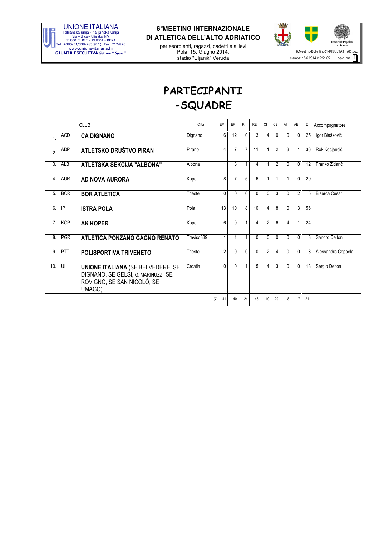

per esordienti, ragazzi, cadetti e allievi Pola, 15. Giugno 2014. stadio "Uljanik" Veruda



# PARTECIPANTI -SQUADRE

|                  |            | <b>CLUB</b>                                                                                                             | Città      | EM             | EF             | RI             | <b>RE</b>      | <b>CI</b>      | <b>CE</b>      | AI             | AE             | Σ   | Accompagnatore       |
|------------------|------------|-------------------------------------------------------------------------------------------------------------------------|------------|----------------|----------------|----------------|----------------|----------------|----------------|----------------|----------------|-----|----------------------|
| 1                | <b>ACD</b> | <b>CA DIGNANO</b>                                                                                                       | Dignano    | 6              | 12             | $\mathbf{0}$   | 3              | $\overline{4}$ | $\mathbf{0}$   | $\mathbf{0}$   | $\overline{0}$ | 25  | Igor Blašković       |
| $\overline{2}$   | <b>ADP</b> | ATLETSKO DRUŠTVO PIRAN                                                                                                  | Pirano     | 4              | $\overline{7}$ | $\overline{7}$ | 11             | $\mathbf{1}$   | $\overline{2}$ | $\overline{3}$ |                | 36  | Rok Kocjančič        |
| 3.               | <b>ALB</b> | ATLETSKA SEKCIJA "ALBONA"                                                                                               | Albona     | $\mathbf{1}$   | 3              | 1              | 4              | $\mathbf{1}$   | $\overline{2}$ | $\Omega$       | $\overline{0}$ | 12  | Franko Zidarić       |
| 4.               | <b>AUR</b> | AD NOVA AURORA                                                                                                          | Koper      | 8              | $\overline{7}$ | 5              | 6              | 1              | 1              | 1              | $\Omega$       | 29  |                      |
| 5.               | <b>BOR</b> | <b>BOR ATLETICA</b>                                                                                                     | Trieste    | $\Omega$       | 0              | $\Omega$       | $\Omega$       | $\Omega$       | 3              | $\Omega$       | $\overline{2}$ | 5   | <b>Biserca Cesar</b> |
| 6.               | IP         | <b>ISTRA POLA</b>                                                                                                       | Pola       | 13             | 10             | 8              | 10             | 4              | 8              | $\Omega$       | 3              | 56  |                      |
| $\overline{7}$ . | <b>KOP</b> | <b>AK KOPER</b>                                                                                                         | Koper      | 6              | $\Omega$       |                | $\overline{4}$ | $\overline{2}$ | 6              | 4              |                | 24  |                      |
| 8.               | <b>PGR</b> | ATLETICA PONZANO GAGNO RENATO                                                                                           | Treviso339 | 1              | 1              | 1              | $\Omega$       | $\overline{0}$ | 0              | $\Omega$       | $\overline{0}$ | 3   | Sandro Delton        |
| 9.               | PTT        | POLISPORTIVA TRIVENETO                                                                                                  | Trieste    | $\overline{2}$ | 0              | $\mathbf{0}$   | $\mathbf{0}$   | $\overline{2}$ | 4              | $\mathbf{0}$   | $\mathbf{0}$   | 8   | Alessandro Coppola   |
| 10.              | UI         | <b>UNIONE ITALIANA (SE BELVEDERE, SE</b><br>DIGNANO, SE GELSI, G. MARINUZZI, SE<br>ROVIGNO, SE SAN NICOLÓ, SE<br>UMAGO) | Croatia    | 0              | $\Omega$       |                | $\overline{5}$ | 4              | $\overline{3}$ | $\mathbf{0}$   | $\Omega$       | 13  | Sergio Delton        |
|                  |            |                                                                                                                         |            | 41             | 40             | 24             | 43             | 19             | 29             | 8              | $\overline{7}$ | 211 |                      |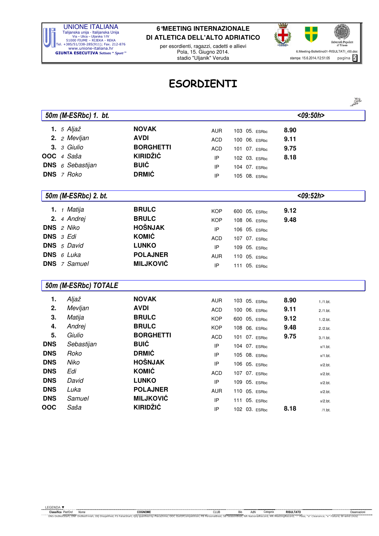

per esordienti, ragazzi, cadetti e allievi Pola, 15. Giugno 2014. stadio "Uljanik" Veruda



## ESORDIENTI

|            |                            |                  |            |                    |      | 2023         |
|------------|----------------------------|------------------|------------|--------------------|------|--------------|
|            | 50m (M-ESRbc) 1. bt.       |                  |            |                    |      | $<$ 09:50h > |
|            | 1. $5$ Aljaž               | <b>NOVAK</b>     | <b>AUR</b> | 103 05. ESRbc      | 8.90 |              |
|            | 2. 2 Mevljan               | <b>AVDI</b>      | <b>ACD</b> | 06. ESRbc<br>100   | 9.11 |              |
| 3.         | 3 Giulio                   | <b>BORGHETTI</b> | <b>ACD</b> | 101<br>07. ESRbc   | 9.75 |              |
|            | OOC 4 Saša                 | <b>KIRIDŽIĆ</b>  | IP         | 102 03. ESRbc      | 8.18 |              |
| <b>DNS</b> | 6 Sebastijan               | <b>BUIĆ</b>      | IP         | 104 07. ESRbc      |      |              |
|            | DNS 7 Roko                 | <b>DRMIĆ</b>     | IP         | 105 08. ESRbc      |      |              |
|            | 50m (M-ESRbc) 2. bt.       |                  |            |                    |      | $<$ 09:52h>  |
|            | 1. <i>1 Matija</i>         | <b>BRULC</b>     | <b>KOP</b> | 600 05, ESRbc      | 9.12 |              |
| 2.         | 4 Andrej                   | <b>BRULC</b>     | <b>KOP</b> | 108 06. ESRbc      | 9.48 |              |
| <b>DNS</b> | 2 Niko                     | <b>HOŠNJAK</b>   | IP         | 106 05. ESRbc      |      |              |
| <b>DNS</b> | 3 Edi                      | <b>KOMIĆ</b>     | <b>ACD</b> | 107 07. ESRbc      |      |              |
|            | <b>DNS</b> 5 David         | <b>LUNKO</b>     | IP         | 109<br>05. ESRbc   |      |              |
|            | <b>DNS</b> $6$ <i>Luka</i> | <b>POLAJNER</b>  | <b>AUR</b> | 05. ESRbc<br>110   |      |              |
|            | <b>DNS</b> 7 Samuel        | <b>MILJKOVIĆ</b> | IP         | 111 05. ESRbc      |      |              |
|            | 50m (M-ESRbc) TOTALE       |                  |            |                    |      |              |
| 1.         | Aljaž                      | <b>NOVAK</b>     | <b>AUR</b> | 103 05. ESRbc      | 8.90 | 1./1.bt.     |
| 2.         | Mevljan                    | <b>AVDI</b>      | <b>ACD</b> | 100 06. ESRbc      | 9.11 | $2./1.$ bt.  |
| 3.         | Matija                     | <b>BRULC</b>     | <b>KOP</b> | 600 05, ESRbc      | 9.12 | $1./2.$ bt.  |
| 4.         | Andrej                     | <b>BRULC</b>     | <b>KOP</b> | 06. ESRbc<br>108   | 9.48 | $2./2.$ bt.  |
| 5.         | Giulio                     | <b>BORGHETTI</b> | <b>ACD</b> | 101<br>07. ESRbc   | 9.75 | $3./1.$ bt.  |
| <b>DNS</b> | Sebastijan                 | <b>BUIĆ</b>      | IP         | 104 07. ESRbc      |      | $x/1.$ bt.   |
| <b>DNS</b> | Roko                       | <b>DRMIĆ</b>     | IP         | 105<br>08. ESRbc   |      | $x/1.$ bt.   |
| <b>DNS</b> | Niko                       | <b>HOŠNJAK</b>   | IP         | 106 05. ESRbc      |      | $x/2.$ bt.   |
| <b>DNS</b> | Edi                        | <b>KOMIĆ</b>     | <b>ACD</b> | 107 07. ESRbc      |      | $x/2.$ bt.   |
| <b>DNS</b> | David                      | <b>LUNKO</b>     | IP         | 109 05. ESRbc      |      | $x/2.$ bt.   |
| <b>DNS</b> | Luka                       | <b>POLAJNER</b>  | <b>AUR</b> | 110 05. ESRbc      |      | $x/2.$ bt.   |
| <b>DNS</b> | Samuel                     | <b>MILJKOVIĆ</b> | IP         | 111<br>$05.$ ESRbc |      | $x/2.$ bt.   |
| OOC        | Saša                       | <b>KIRIDŽIĆ</b>  | IP         | 102 03. ESRbc      | 8.18 | $/1.$ bt.    |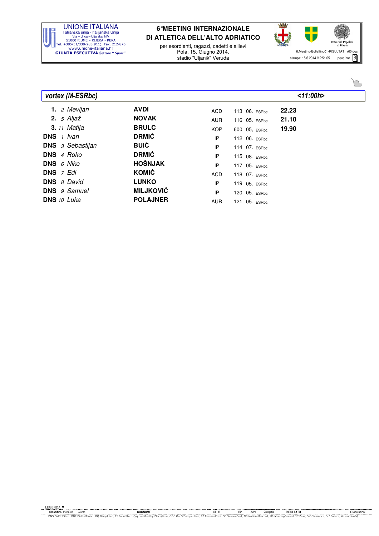

per esordienti, ragazzi, cadetti e allievi Pola, 15. Giugno 2014. stadio "Uljanik" Veruda



| vortex (M-ESRbc)          |                  |            |               | < 11:00h> |
|---------------------------|------------------|------------|---------------|-----------|
| 1. 2 Mevljan              | <b>AVDI</b>      | <b>ACD</b> | 113 06. ESRbc | 22.23     |
| 2. $5$ Aljaž              | <b>NOVAK</b>     | <b>AUR</b> | 116 05. ESRbc | 21.10     |
| <b>3.</b> 11 Matija       | <b>BRULC</b>     | <b>KOP</b> | 600 05, ESRbc | 19.90     |
| <b>DNS</b> 1 Ivan         | <b>DRMIĆ</b>     | IP         | 112 06. ESRbc |           |
| <b>DNS</b> 3 Sebastijan   | <b>BUIĆ</b>      | IP         | 114 07. ESRbc |           |
| DNS 4 Roko                | <b>DRMIĆ</b>     | IP         | 115 08. ESRbc |           |
| <b>DNS</b> 6 Niko         | <b>HOŠNJAK</b>   | IP         | 117 05. ESRbc |           |
| <b>DNS</b> $7$ <i>Edi</i> | KOMIĆ            | <b>ACD</b> | 118 07. ESRbc |           |
| <b>DNS</b> 8 David        | <b>LUNKO</b>     | IP         | 119 05. ESRbc |           |
| <b>DNS</b> 9 Samuel       | <b>MILJKOVIĆ</b> | IP         | 120 05. ESRbc |           |
| <b>DNS</b> 10 Luka        | <b>POLAJNER</b>  | <b>AUR</b> | 121 05. ESRbc |           |

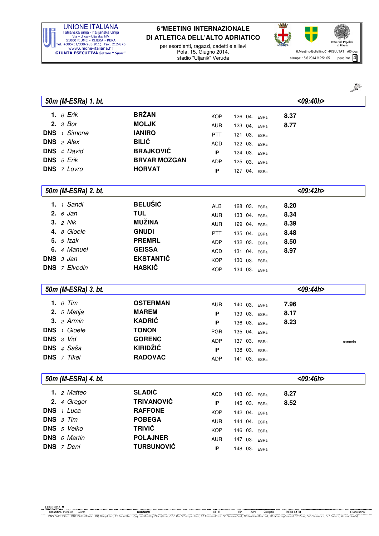

per esordienti, ragazzi, cadetti e allievi Pola, 15. Giugno 2014. stadio "Uljanik" Veruda



్రై

|            |                        |                     |                            |                 |              | P       |
|------------|------------------------|---------------------|----------------------------|-----------------|--------------|---------|
|            | 50m (M-ESRa) 1. bt.    |                     |                            |                 | $<$ 09:40h>  |         |
|            | <b>1.</b> 6 Erik       | <b>BRŽAN</b>        | <b>KOP</b>                 | 126 04. ESRa    | 8.37         |         |
|            | $2.3$ Bor              | <b>MOLJK</b>        | <b>AUR</b>                 | 123 04. ESRa    | 8.77         |         |
|            | <b>DNS</b> 1 Simone    | <b>IANIRO</b>       | <b>PTT</b>                 | 03. ESRa<br>121 |              |         |
| <b>DNS</b> | 2 Alex                 | <b>BILIĆ</b>        | ACD                        | 122 03. ESRa    |              |         |
|            | <b>DNS</b> 4 David     | <b>BRAJKOVIĆ</b>    | IP                         | 124 03. ESRa    |              |         |
|            | DNS 5 Erik             | <b>BRVAR MOZGAN</b> | <b>ADP</b>                 | 125 03. ESRa    |              |         |
|            | <b>DNS</b> 7 Lovro     | <b>HORVAT</b>       | IP                         | 127 04. ESRa    |              |         |
|            |                        |                     |                            |                 |              |         |
|            | 50m (M-ESRa) 2. bt.    |                     |                            |                 | $<$ 09:42h>  |         |
|            | 1. 1 Sandi             | <b>BELUŠIĆ</b>      | <b>ALB</b>                 | 128 03. ESRa    | 8.20         |         |
|            | 2.6 Jan                | <b>TUL</b>          | AUR                        | 133 04. ESRa    | 8.34         |         |
|            | <b>3.</b> <i>2 Nik</i> | <b>MUŽINA</b>       | <b>AUR</b>                 | 129 04. ESRa    | 8.39         |         |
|            | 4. 8 Gioele            | <b>GNUDI</b>        | <b>PTT</b>                 | 135 04. ESRa    | 8.48         |         |
|            | 5. $5$ Izak            | <b>PREMRL</b>       | ADP                        | 132 03. ESRa    | 8.50         |         |
|            | 6. 4 Manuel            | <b>GEISSA</b>       | <b>ACD</b>                 | 131 04. ESRa    | 8.97         |         |
|            | DNS $3$ Jan            | <b>EKSTANTIČ</b>    | <b>KOP</b>                 | 130 03. ESRa    |              |         |
|            | <b>DNS</b> 7 Elvedin   | <b>HASKIČ</b>       | <b>KOP</b>                 | 134 03. ESRa    |              |         |
|            | 50m (M-ESRa) 3. bt.    |                     |                            |                 | $<$ 09:44h>  |         |
|            |                        |                     |                            |                 |              |         |
|            | 1. $6$ Tim             | <b>OSTERMAN</b>     | <b>AUR</b>                 | 140 03. ESRa    | 7.96         |         |
|            | 2. 5 Matija            | <b>MAREM</b>        | IP                         | 139 03. ESRa    | 8.17         |         |
|            | $3.2$ Armin            | <b>KADRIĆ</b>       | IP                         | 136 03. ESRa    | 8.23         |         |
| <b>DNS</b> | 1 Gioele               | <b>TONON</b>        | <b>PGR</b>                 | 135 04. ESRa    |              |         |
|            | DNS 3 Vid              | <b>GORENC</b>       | ADP                        | 137 03. ESRa    |              | cancela |
|            | DNS 4 Saša             | <b>KIRIDŽIĆ</b>     | IP                         | 138 03. ESRa    |              |         |
|            | <b>DNS</b> 7 Tikei     | <b>RADOVAC</b>      | <b>ADP</b>                 | 141 03. ESRa    |              |         |
|            |                        |                     |                            |                 |              |         |
|            | 50m (M-ESRa) 4. bt.    |                     |                            |                 | $<$ 09:46h > |         |
|            | 1. $2$ Matteo          | <b>SLADIĆ</b>       | <b>ACD</b>                 | 143 03. ESRa    | 8.27         |         |
|            | 2. 4 Gregor            | <b>TRIVANOVIĆ</b>   | $\ensuremath{\mathsf{IP}}$ | 145 03. ESRa    | 8.52         |         |
|            | DNS 1 Luca             | <b>RAFFONE</b>      | <b>KOP</b>                 | 142 04. ESRa    |              |         |
|            | DNS 3 Tim              | <b>POBEGA</b>       | <b>AUR</b>                 | 144 04. ESRa    |              |         |
|            | DNS 5 Velko            | <b>TRIVIČ</b>       | <b>KOP</b>                 | 146 03. ESRa    |              |         |
|            | <b>DNS</b> 6 Martin    | <b>POLAJNER</b>     | <b>AUR</b>                 | 147 03. ESRa    |              |         |
|            | DNS 7 Deni             | <b>TURSUNOVIĆ</b>   | IP                         | 148 03. ESRa    |              |         |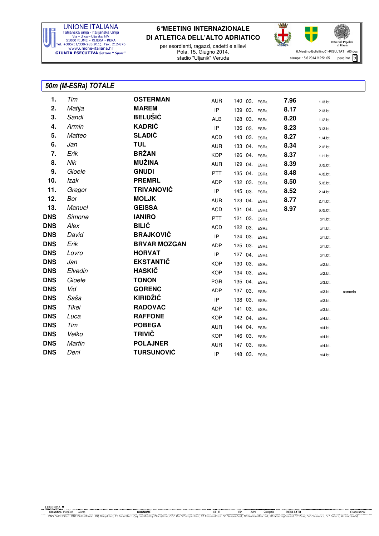

per esordienti, ragazzi, cadetti e allievi Pola, 15. Giugno 2014. stadio "Uljanik" Veruda



### 50m (M-ESRa) TOTALE

| 1.         | Tim     | <b>OSTERMAN</b>     | <b>AUR</b> | 140 03. ESRa |      | 7.96 | $1./3.$ bt. |         |
|------------|---------|---------------------|------------|--------------|------|------|-------------|---------|
| 2.         | Matija  | <b>MAREM</b>        | IP         | 139 03.      | ESRa | 8.17 | $2./3.$ bt. |         |
| 3.         | Sandi   | <b>BELUŠIĆ</b>      | <b>ALB</b> | 128 03. ESRa |      | 8.20 | $1./2.$ bt. |         |
| 4.         | Armin   | <b>KADRIĆ</b>       | IP         | 136 03. ESRa |      | 8.23 | $3./3.$ bt. |         |
| 5.         | Matteo  | <b>SLADIĆ</b>       | <b>ACD</b> | 143 03. ESRa |      | 8.27 | $1./4.$ bt. |         |
| 6.         | Jan     | <b>TUL</b>          | <b>AUR</b> | 133 04. ESRa |      | 8.34 | $2./2.$ bt. |         |
| 7.         | Erik    | <b>BRŽAN</b>        | <b>KOP</b> | 126 04. ESRa |      | 8.37 | $1./1.$ bt. |         |
| 8.         | Nik     | <b>MUŽINA</b>       | <b>AUR</b> | 129 04.      | ESRa | 8.39 | $3./2.$ bt. |         |
| 9.         | Gioele  | <b>GNUDI</b>        | <b>PTT</b> | 135 04.      | ESRa | 8.48 | $4./2.$ bt. |         |
| 10.        | Izak    | <b>PREMRL</b>       | ADP        | 132 03. ESRa |      | 8.50 | $5./2.$ bt. |         |
| 11.        | Gregor  | <b>TRIVANOVIĆ</b>   | IP         | 145 03. ESRa |      | 8.52 | $2./4.$ bt. |         |
| 12.        | Bor     | <b>MOLJK</b>        | <b>AUR</b> | 123 04. ESRa |      | 8.77 | $2./1.$ bt. |         |
| 13.        | Manuel  | <b>GEISSA</b>       | <b>ACD</b> | 131 04. ESRa |      | 8.97 | $6./2.$ bt. |         |
| <b>DNS</b> | Simone  | <b>IANIRO</b>       | <b>PTT</b> | 121 03. ESRa |      |      | $x/1.$ bt.  |         |
| <b>DNS</b> | Alex    | <b>BILIĆ</b>        | <b>ACD</b> | 122 03. ESRa |      |      | $x/1.$ bt.  |         |
| <b>DNS</b> | David   | <b>BRAJKOVIĆ</b>    | IP         | 124 03. ESRa |      |      | $x/1.$ bt.  |         |
| <b>DNS</b> | Erik    | <b>BRVAR MOZGAN</b> | ADP        | 125 03. ESRa |      |      | $x/1.$ bt.  |         |
| <b>DNS</b> | Lovro   | <b>HORVAT</b>       | IP         | 127 04. ESRa |      |      | $x/1.$ bt.  |         |
| <b>DNS</b> | Jan     | <b>EKSTANTIČ</b>    | <b>KOP</b> | 130 03. ESRa |      |      | $x/2.$ bt.  |         |
| <b>DNS</b> | Elvedin | <b>HASKIČ</b>       | <b>KOP</b> | 134 03.      | ESRa |      | $x/2.$ bt.  |         |
| <b>DNS</b> | Gioele  | <b>TONON</b>        | <b>PGR</b> | 135 04. ESRa |      |      | $x/3.$ bt.  |         |
| dns        | Vid     | <b>GORENC</b>       | <b>ADP</b> | 137 03. ESRa |      |      | $x/3.$ bt.  | cancela |
| <b>DNS</b> | Saša    | <b>KIRIDŽIĆ</b>     | IP         | 138 03. ESRa |      |      | $x/3.$ bt.  |         |
| <b>DNS</b> | Tikei   | <b>RADOVAC</b>      | <b>ADP</b> | 141 03. ESRa |      |      | $x/3.$ bt.  |         |
| <b>DNS</b> | Luca    | <b>RAFFONE</b>      | <b>KOP</b> | 142 04. ESRa |      |      | $x/4.$ bt.  |         |
| <b>DNS</b> | Tim     | <b>POBEGA</b>       | <b>AUR</b> | 144 04. ESRa |      |      | $x/4.$ bt.  |         |
| <b>DNS</b> | Velko   | <b>TRIVIČ</b>       | <b>KOP</b> | 146 03. ESRa |      |      | $x/4.$ bt.  |         |
| <b>DNS</b> | Martin  | <b>POLAJNER</b>     | <b>AUR</b> | 147 03. ESRa |      |      | $x/4.$ bt.  |         |
| <b>DNS</b> | Deni    | <b>TURSUNOVIĆ</b>   | IP         | 148 03. ESRa |      |      | $x/4.$ bt.  |         |
|            |         |                     |            |              |      |      |             |         |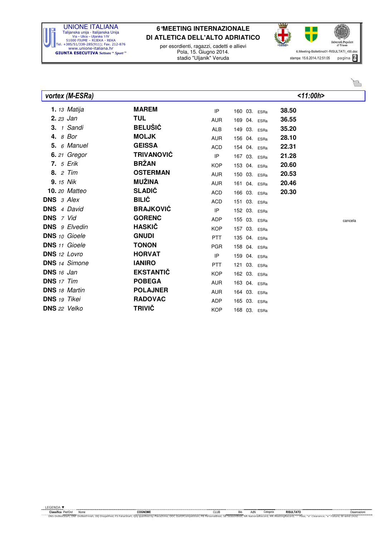

per esordienti, ragazzi, cadetti e allievi Pola, 15. Giugno 2014. stadio "Uljanik" Veruda



| vortex (M-ESRa)      |                   |            |                 | < 11:00h> |         |
|----------------------|-------------------|------------|-----------------|-----------|---------|
| 1. $13$ Matija       | <b>MAREM</b>      | IP         | 160 03. ESRa    | 38.50     |         |
| 2. 23 Jan            | <b>TUL</b>        | <b>AUR</b> | 169 04. ESRa    | 36.55     |         |
| $3.1$ Sandi          | <b>BELUŠIĆ</b>    | <b>ALB</b> | 149 03. ESRa    | 35.20     |         |
| 4. 8 Bor             | <b>MOLJK</b>      | <b>AUR</b> | 156 04. ESRa    | 28.10     |         |
| 5. 6 Manuel          | <b>GEISSA</b>     | <b>ACD</b> | 154 04. ESRa    | 22.31     |         |
| 6. 21 Gregor         | <b>TRIVANOVIĆ</b> | IP         | 167 03. ESRa    | 21.28     |         |
| <b>7.</b> 5 Erik     | <b>BRŽAN</b>      | <b>KOP</b> | 153 04. ESRa    | 20.60     |         |
| Tim<br>8.2           | <b>OSTERMAN</b>   | <b>AUR</b> | 150 03. ESRa    | 20.53     |         |
| <b>9.</b> 15 Nik     | <b>MUŽINA</b>     | <b>AUR</b> | 161 04. ESRa    | 20.46     |         |
| <b>10.</b> 20 Matteo | <b>SLADIĆ</b>     | <b>ACD</b> | 166 03. ESRa    | 20.30     |         |
| <b>DNS</b> 3 Alex    | <b>BILIĆ</b>      | <b>ACD</b> | 151 03. ESRa    |           |         |
| <b>DNS</b> 4 David   | <b>BRAJKOVIĆ</b>  | IP         | 152 03. ESRa    |           |         |
| <b>DNS</b> 7 Vid     | <b>GORENC</b>     | <b>ADP</b> | 155 03. ESRa    |           | cancela |
| <b>DNS</b> 9 Elvedin | <b>HASKIČ</b>     | <b>KOP</b> | 157 03. ESRa    |           |         |
| <b>DNS</b> 10 Gioele | <b>GNUDI</b>      | <b>PTT</b> | 135 04. ESRa    |           |         |
| <b>DNS</b> 11 Gioele | <b>TONON</b>      | <b>PGR</b> | 158 04. ESRa    |           |         |
| DNS 12 Lovro         | <b>HORVAT</b>     | IP         | 159<br>04. ESRa |           |         |
| <b>DNS</b> 14 Simone | <b>IANIRO</b>     | <b>PTT</b> | 121<br>03. ESRa |           |         |
| <b>DNS</b> $16$ Jan  | <b>EKSTANTIČ</b>  | <b>KOP</b> | 162 03. ESRa    |           |         |
| <b>DNS</b> 17 Tim    | <b>POBEGA</b>     | <b>AUR</b> | 163 04. ESRa    |           |         |
| <b>DNS</b> 18 Martin | <b>POLAJNER</b>   | <b>AUR</b> | 164<br>03. ESRa |           |         |
| <b>DNS</b> 19 Tikei  | <b>RADOVAC</b>    | ADP        | 165 03. ESRa    |           |         |
| <b>DNS</b> 22 Velko  | <b>TRIVIČ</b>     | <b>KOP</b> | 168 03. ESRa    |           |         |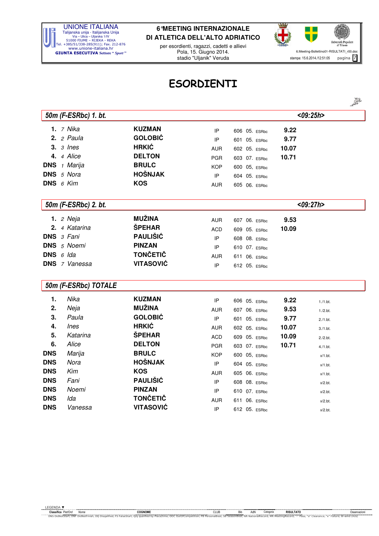

per esordienti, ragazzi, cadetti e allievi Pola, 15. Giugno 2014. stadio "Uljanik" Veruda



53

## ESORDIENTI

|            | 50m (F-ESRbc) 1. bt. |                  |            |                  |       | $<$ 09:25h > |
|------------|----------------------|------------------|------------|------------------|-------|--------------|
|            | 1. $7$ Nika          | <b>KUZMAN</b>    | IP         | 606 05. ESRbc    | 9.22  |              |
|            | 2. $2$ Paula         | <b>GOLOBIĆ</b>   | IP         | 601 05. ESRbc    | 9.77  |              |
|            | $3.3$ lnes           | <b>HRKIĆ</b>     | <b>AUR</b> | 602 05. ESRbc    | 10.07 |              |
|            | 4. 4 Alice           | <b>DELTON</b>    | <b>PGR</b> | 603 07. ESRbc    | 10.71 |              |
| <b>DNS</b> | 1 Marija             | <b>BRULC</b>     | <b>KOP</b> | 600 05, ESRbc    |       |              |
|            | <b>DNS</b> 5 Nora    | <b>HOŠNJAK</b>   | IP         | 604 05. ESRbc    |       |              |
|            | <b>DNS</b> $6$ Kim   | <b>KOS</b>       | <b>AUR</b> | 605 06. ESRbc    |       |              |
|            | 50m (F-ESRbc) 2. bt. |                  |            |                  |       | $<$ 09:27h > |
|            | <b>1.</b> 2 Neja     | <b>MUŽINA</b>    | <b>AUR</b> | 607 06. ESRbc    | 9.53  |              |
|            | 2. 4 Katarina        | <b>ŠPEHAR</b>    | <b>ACD</b> | 609 05. ESRbc    | 10.09 |              |
|            | DNS 3 Fani           | PAULIŠIĆ         | IP         | 608 08. ESRbc    |       |              |
| <b>DNS</b> | 5 Noemi              | <b>PINZAN</b>    | IP         | 610 07. ESRbc    |       |              |
|            | DNS $6$ Ida          | <b>TONČETIČ</b>  | <b>AUR</b> | 611 06. ESRbc    |       |              |
|            | <b>DNS</b> 7 Vanessa | <b>VITASOVIĆ</b> | IP         | 612 05. ESRbc    |       |              |
|            | 50m (F-ESRbc) TOTALE |                  |            |                  |       |              |
| 1.         | Nika                 | <b>KUZMAN</b>    | IP         | 606 05. ESRbc    | 9.22  | $1./1.$ bt.  |
| 2.         | Neja                 | <b>MUŽINA</b>    | <b>AUR</b> | 607 06. ESRbc    | 9.53  | $1./2.$ bt.  |
| 3.         | Paula                | <b>GOLOBIĆ</b>   | IP         | 601 05. ESRbc    | 9.77  | $2./1.$ bt.  |
| 4.         | <b>Ines</b>          | <b>HRKIĆ</b>     | <b>AUR</b> | 602 05. ESRbc    | 10.07 | $3./1.$ bt.  |
| 5.         | Katarina             | <b>ŠPEHAR</b>    | <b>ACD</b> | 609 05. ESRbc    | 10.09 | $2./2.$ bt.  |
| 6.         | Alice                | <b>DELTON</b>    | <b>PGR</b> | 603 07. ESRbc    | 10.71 | $4./1.$ bt.  |
| <b>DNS</b> | Marija               | <b>BRULC</b>     | <b>KOP</b> | 600 05, ESRbc    |       | $x/1.$ bt.   |
| <b>DNS</b> | Nora                 | <b>HOŠNJAK</b>   | IP         | 604 05. ESRbc    |       | $x/1.$ bt.   |
| <b>DNS</b> | Kim                  | <b>KOS</b>       | <b>AUR</b> | 605 06. ESRbc    |       | $x/1.$ bt.   |
| <b>DNS</b> | Fani                 | <b>PAULIŠIĆ</b>  | IP         | 608 08. ESRbc    |       | $x/2.$ bt.   |
| <b>DNS</b> | Noemi                | <b>PINZAN</b>    | IP         | 610 07. ESRbc    |       | $x/2.$ bt.   |
| <b>DNS</b> | Ida                  | <b>TONČETIČ</b>  | <b>AUR</b> | 06. ESRbc<br>611 |       | $x/2.$ bt.   |
| <b>DNS</b> | Vanessa              | <b>VITASOVIĆ</b> | IP         | 612 05. ESRbc    |       | $x/2.$ bt.   |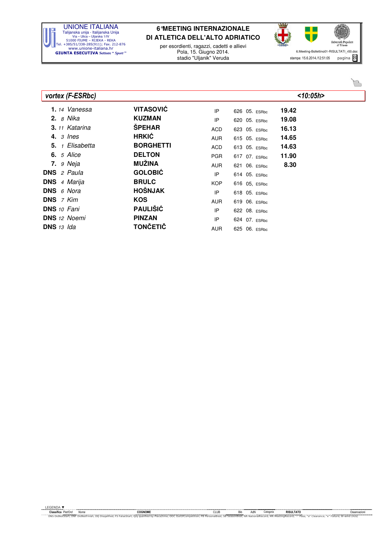

per esordienti, ragazzi, cadetti e allievi Pola, 15. Giugno 2014. stadio "Uljanik" Veruda



| vortex (F-ESRbc)         |                  |            |               | $<$ 10:05h> |
|--------------------------|------------------|------------|---------------|-------------|
| 1. <sub>14</sub> Vanessa | <b>VITASOVIĆ</b> | IP         | 626 05. ESRbc | 19.42       |
| <b>2.</b> 8 Nika         | <b>KUZMAN</b>    | IP         | 620 05. ESRbc | 19.08       |
| <b>3.</b> 11 Katarina    | <b>ŠPEHAR</b>    | <b>ACD</b> | 623 05. ESRbc | 16.13       |
| 4. $3$ lnes              | <b>HRKIĆ</b>     | AUR        | 615 05. ESRbc | 14.65       |
| <b>5.</b> 1 Elisabetta   | <b>BORGHETTI</b> | <b>ACD</b> | 613 05. ESRbc | 14.63       |
| <b>6.</b> 5 Alice        | <b>DELTON</b>    | <b>PGR</b> | 617 07. ESRbc | 11.90       |
| <b>7.</b> <i>9 Neja</i>  | <b>MUŽINA</b>    | <b>AUR</b> | 621 06. ESRbc | 8.30        |
| <b>DNS</b> $2$ Paula     | <b>GOLOBIĆ</b>   | IP         | 614 05. ESRbc |             |
| <b>DNS</b> 4 Marija      | <b>BRULC</b>     | <b>KOP</b> | 616 05, ESRbc |             |
| <b>DNS</b> $6$ Nora      | <b>HOŠNJAK</b>   | IP         | 618 05. ESRbc |             |
| <b>DNS</b> 7 Kim         | <b>KOS</b>       | <b>AUR</b> | 619 06. ESRbc |             |
| <b>DNS</b> 10 Fani       | <b>PAULIŠIĆ</b>  | IP         | 622 08. ESRbc |             |
| <b>DNS</b> 12 Noemi      | <b>PINZAN</b>    | IP         | 624 07. ESRbc |             |
| <b>DNS</b> $13$ $lda$    | <b>TONČETIČ</b>  | <b>AUR</b> | 625 06. ESRbc |             |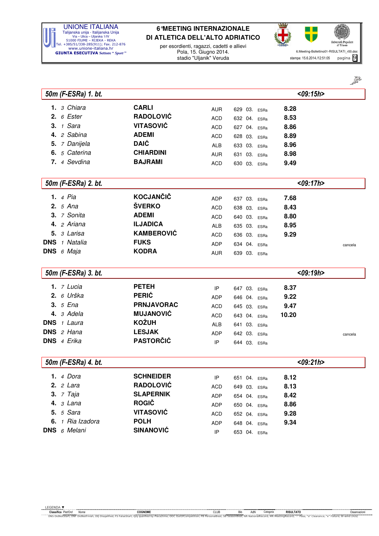

per esordienti, ragazzi, cadetti e allievi Pola, 15. Giugno 2014. stadio "Uljanik" Veruda



ని

|                      |                   |            |              |                 | $\mathscr{L}$ |
|----------------------|-------------------|------------|--------------|-----------------|---------------|
| 50m (F-ESRa) 1. bt.  |                   |            |              | $<$ 09:15h >    |               |
| 3 Chiara<br>1.       | <b>CARLI</b>      | <b>AUR</b> | 629 03. ESRa | 8.28            |               |
| 6 Ester<br>2.        | <b>RADOLOVIĆ</b>  | <b>ACD</b> | 632 04. ESRa | 8.53            |               |
| 3. $1$ Sara          | <b>VITASOVIĆ</b>  | <b>ACD</b> | 627 04. ESRa | 8.86            |               |
| 4. 2 Sabina          | <b>ADEMI</b>      | <b>ACD</b> | 628 03. ESRa | 8.89            |               |
| 5. 7 Danijela        | <b>DAIĆ</b>       | <b>ALB</b> | 633 03. ESRa | 8.96            |               |
| 5 Caterina<br>6.     | <b>CHIARDINI</b>  | <b>AUR</b> | 631 03. ESRa | 8.98            |               |
| 7. 4 Sevdina         | <b>BAJRAMI</b>    | <b>ACD</b> | 630 03. ESRa | 9.49            |               |
| 50m (F-ESRa) 2. bt.  |                   |            |              | <09:17h>        |               |
|                      | <b>KOCJANČIČ</b>  |            |              |                 |               |
| <b>1.</b> 4 Pia      |                   | <b>ADP</b> | 637 03. ESRa | 7.68            |               |
| 2. $5$ Ana           | ŠVERKO            | <b>ACD</b> | 638 03. ESRa | 8.43            |               |
| 3. 7 Sonita          | <b>ADEMI</b>      | <b>ACD</b> | 640 03. ESRa | 8.80            |               |
| 4. 2 Ariana          | <b>ILJADICA</b>   | <b>ALB</b> | 635 03. ESRa | 8.95            |               |
| 5. 3 Larisa          | <b>KAMBEROVIĆ</b> | <b>ACD</b> | 636 03. ESRa | 9.29            |               |
| <b>DNS</b> 1 Natalia | <b>FUKS</b>       | <b>ADP</b> | 634 04. ESRa |                 | cancela       |
| <b>DNS</b> $6$ Maja  | <b>KODRA</b>      | <b>AUR</b> | 639 03. ESRa |                 |               |
| 50m (F-ESRa) 3. bt.  |                   |            |              | $<$ 09:19h $>$  |               |
| $1.7$ Lucia          | <b>PETEH</b>      | IP         | 647 03. ESRa | 8.37            |               |
| $2.6$ Urška          | <b>PERIĆ</b>      | <b>ADP</b> | 646 04. ESRa | 9.22            |               |
| 3. $5$ <i>Ena</i>    | <b>PRNJAVORAC</b> | <b>ACD</b> | 645 03. ESRa | 9.47            |               |
| 4. 3 Adela           | <b>MUJANOVIĆ</b>  | <b>ACD</b> | 643 04. ESRa | 10.20           |               |
| <b>DNS</b> 1 Laura   | <b>KOŽUH</b>      | <b>ALB</b> | 641 03. ESRa |                 |               |
| <b>DNS</b> 2 Hana    | <b>LESJAK</b>     | <b>ADP</b> | 642 03. ESRa |                 | cancela       |
| DNS 4 Erika          | <b>PASTORČIĆ</b>  | IP         | 644 03. ESRa |                 |               |
| 50m (F-ESRa) 4. bt.  |                   |            |              | $<$ 09:21 h $>$ |               |

|                              |                  |            |                 | NUJ.LIIIZ |
|------------------------------|------------------|------------|-----------------|-----------|
| <b>1.</b> 4 Dora             | <b>SCHNEIDER</b> | ΙP         | 651 04. ESRa    | 8.12      |
| 2. $2$ Lara                  | <b>RADOLOVIĆ</b> | <b>ACD</b> | 649 03.<br>ESRa | 8.13      |
| <b>3.</b> <i>7 Taja</i>      | <b>SLAPERNIK</b> | <b>ADP</b> | 654 04.<br>ESRa | 8.42      |
| 4. $3$ Lana                  | <b>ROGIČ</b>     | <b>ADP</b> | 650 04. ESRa    | 8.86      |
| <b>5.</b> 5 Sara             | <b>VITASOVIĆ</b> | ACD        | 652 04. ESRa    | 9.28      |
| 6. $\frac{1}{1}$ Ria Izadora | <b>POLH</b>      | <b>ADP</b> | 648 04.<br>ESRa | 9.34      |
| <b>DNS</b> 6 Melani          | <b>SINANOVIĆ</b> | IP         | 653 04. ESRa    |           |
|                              |                  |            |                 |           |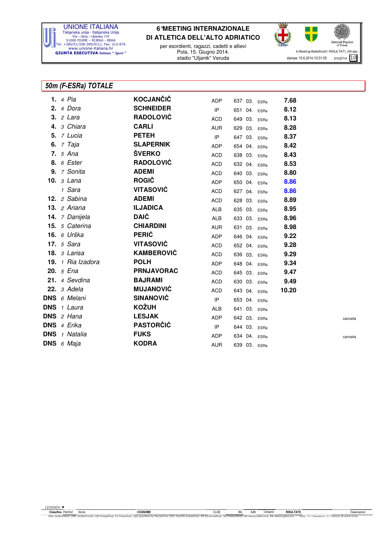

per esordienti, ragazzi, cadetti e allievi Pola, 15. Giugno 2014. stadio "Uljanik" Veruda



### 50m (F-ESRa) TOTALE

|  | <b>1.</b> 4 Pia          | KOCJANČIČ         | ADP        |  | 637 03. ESRa | 7.68  |         |
|--|--------------------------|-------------------|------------|--|--------------|-------|---------|
|  | $2.4$ Dora               | <b>SCHNEIDER</b>  | IP         |  | 651 04. ESRa | 8.12  |         |
|  | $3.2$ Lara               | <b>RADOLOVIĆ</b>  | <b>ACD</b> |  | 649 03. ESRa | 8.13  |         |
|  | 4. 3 Chiara              | <b>CARLI</b>      | AUR        |  | 629 03. ESRa | 8.28  |         |
|  | <b>5.</b> <i>7 Lucia</i> | <b>PETEH</b>      | IP         |  | 647 03. ESRa | 8.37  |         |
|  | <b>6.</b> <i>7 Taja</i>  | <b>SLAPERNIK</b>  | ADP        |  | 654 04. ESRa | 8.42  |         |
|  | <b>7.</b> 5 Ana          | <b>ŠVERKO</b>     | ACD        |  | 638 03. ESRa | 8.43  |         |
|  | <b>8.</b> 6 Ester        | <b>RADOLOVIĆ</b>  | ACD        |  | 632 04. ESRa | 8.53  |         |
|  | 9. 7 Sonita              | <b>ADEMI</b>      | ACD        |  | 640 03. ESRa | 8.80  |         |
|  | <b>10.</b> <i>3 Lana</i> | <b>ROGIČ</b>      | ADP        |  | 650 04. ESRa | 8.86  |         |
|  | 1 Sara                   | <b>VITASOVIĆ</b>  | ACD        |  | 627 04. ESRa | 8.86  |         |
|  | 12. 2 Sabina             | <b>ADEMI</b>      | <b>ACD</b> |  | 628 03. ESRa | 8.89  |         |
|  | 13. $2$ Ariana           | <b>ILJADICA</b>   | <b>ALB</b> |  | 635 03. ESRa | 8.95  |         |
|  | 14. <i>7 Danijela</i>    | <b>DAIĆ</b>       | ALB        |  | 633 03. ESRa | 8.96  |         |
|  | 15. 5 Caterina           | <b>CHIARDINI</b>  | AUR        |  | 631 03. ESRa | 8.98  |         |
|  | 16. 6 Urška              | <b>PERIĆ</b>      | ADP        |  | 646 04. ESRa | 9.22  |         |
|  | <b>17.</b> 5 Sara        | <b>VITASOVIĆ</b>  | <b>ACD</b> |  | 652 04. ESRa | 9.28  |         |
|  | 18. 3 Larisa             | <b>KAMBEROVIĆ</b> | ACD        |  | 636 03. ESRa | 9.29  |         |
|  | 19. 1 Ria Izadora        | <b>POLH</b>       | ADP        |  | 648 04. ESRa | 9.34  |         |
|  | 20. 5 Ena                | <b>PRNJAVORAC</b> | ACD        |  | 645 03. ESRa | 9.47  |         |
|  | 21. 4 Sevdina            | <b>BAJRAMI</b>    | ACD        |  | 630 03. ESRa | 9.49  |         |
|  | $22.3$ Adela             | <b>MUJANOVIĆ</b>  | ACD        |  | 643 04. ESRa | 10.20 |         |
|  | DNS 6 Melani             | <b>SINANOVIĆ</b>  | IP         |  | 653 04. ESRa |       |         |
|  | DNS 1 Laura              | <b>KOŽUH</b>      | <b>ALB</b> |  | 641 03. ESRa |       |         |
|  | <b>DNS</b> $2$ Hana      | <b>LESJAK</b>     | ADP        |  | 642 03. ESRa |       | cancela |
|  | DNS 4 Erika              | <b>PASTORČIĆ</b>  | IP         |  | 644 03. ESRa |       |         |
|  | <b>DNS</b> 1 Natalia     | <b>FUKS</b>       | <b>ADP</b> |  | 634 04. ESRa |       | cancela |
|  | DNS 6 Maja               | <b>KODRA</b>      | <b>AUR</b> |  | 639 03. ESRa |       |         |
|  |                          |                   |            |  |              |       |         |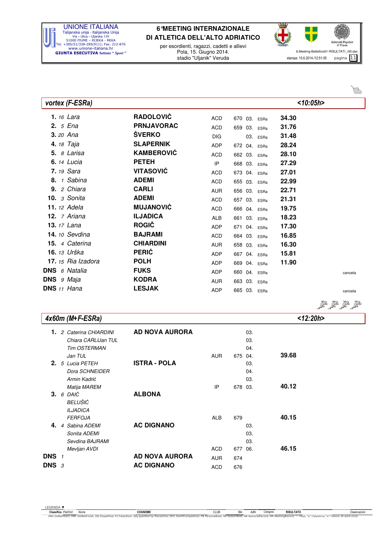

per esordienti, ragazzi, cadetti e allievi Pola, 15. Giugno 2014. stadio "Uljanik" Veruda



50 50 50 50

#### vortex (F-ESRa) <10:05h>

|                   | <b>1.</b> 16 Lara                | <b>RADOLOVIĆ</b>  | ACD        |  | 670 03. ESRa | 34.30 |         |
|-------------------|----------------------------------|-------------------|------------|--|--------------|-------|---------|
| 2. 5 Ena          |                                  | <b>PRNJAVORAC</b> | <b>ACD</b> |  | 659 03. ESRa | 31.76 |         |
| 3. 20 Ana         |                                  | <b>ŠVERKO</b>     | <b>DIG</b> |  | 03. ESRa     | 31.48 |         |
| <b>4.</b> 18 Taja |                                  | <b>SLAPERNIK</b>  | ADP        |  | 672 04. ESRa | 28.24 |         |
|                   | 5. $8$ Larisa                    | <b>KAMBEROVIĆ</b> | <b>ACD</b> |  | 662 03. ESRa | 28.10 |         |
|                   | <b>6.</b> 14 Lucia               | <b>PETEH</b>      | IP         |  | 668 03. ESRa | 27.29 |         |
|                   | <b>7.</b> 19 Sara                | <b>VITASOVIĆ</b>  | ACD        |  | 673 04. ESRa | 27.01 |         |
|                   | 8. 1 Sabina                      | <b>ADEMI</b>      | ACD        |  | 655 03. ESRa | 22.99 |         |
|                   | 9. 2 Chiara                      | <b>CARLI</b>      | <b>AUR</b> |  | 656 03. ESRa | 22.71 |         |
|                   | 10. 3 Sonita                     | <b>ADEMI</b>      | <b>ACD</b> |  | 657 03. ESRa | 21.31 |         |
|                   | <b>11.</b> 12 Adela              | <b>MUJANOVIĆ</b>  | ACD        |  | 666 04. ESRa | 19.75 |         |
|                   | <b>12.</b> $\overline{z}$ Ariana | <b>ILJADICA</b>   | ALB        |  | 661 03. ESRa | 18.23 |         |
| 13. 17 Lana       |                                  | <b>ROGIČ</b>      | ADP        |  | 671 04. ESRa | 17.30 |         |
|                   | <b>14.</b> 10 Sevdina            | <b>BAJRAMI</b>    | ACD        |  | 664 03. ESRa | 16.85 |         |
|                   | 15. 4 Caterina                   | <b>CHIARDINI</b>  | <b>AUR</b> |  | 658 03. ESRa | 16.30 |         |
|                   | 16. 13 Urška                     | <b>PERIĆ</b>      | ADP        |  | 667 04. ESRa | 15.81 |         |
|                   | 17. 15 Ria Izadora               | <b>POLH</b>       | <b>ADP</b> |  | 669 04. ESRa | 11.90 |         |
|                   | <b>DNS</b> 6 Natalia             | <b>FUKS</b>       | ADP        |  | 660 04. ESRa |       | cancela |
| <b>DNS</b> 9 Maja |                                  | <b>KODRA</b>      | <b>AUR</b> |  | 663 03. ESRa |       |         |
| DNS 11 Hana       |                                  | <b>LESJAK</b>     | ADP        |  | 665 03. ESRa |       | cancela |
|                   |                                  |                   |            |  |              |       |         |

#### 4x60m (M+F-ESRa) <12:20h>

| 1.          |                                      | 2 Caterina CHIARDINI<br>Chiara CARLIJan TUL<br><b>Tim OSTERMAN</b>                     | <b>AD NOVA AURORA</b>               |                                        |                       | 03.<br>03.<br>04. |       |
|-------------|--------------------------------------|----------------------------------------------------------------------------------------|-------------------------------------|----------------------------------------|-----------------------|-------------------|-------|
|             |                                      | Jan TUL<br><b>2.</b> 5 Lucia PETEH<br>Dora SCHNEIDER<br>Armin Kadrić                   | <b>ISTRA - POLA</b>                 | <b>AUR</b>                             | 675 04.               | 03.<br>04.<br>03. | 39.68 |
|             |                                      | Matija MAREM<br>$3.6$ DAIC<br>BELUŠIĆ                                                  | <b>ALBONA</b>                       | IP                                     | 678 03.               |                   | 40.12 |
| 4.          |                                      | <b>ILJADICA</b><br><b>FERFOJA</b><br>4 Sabina ADEMI<br>Sonita ADEMI<br>Sevdina BAJRAMI | <b>AC DIGNANO</b>                   | ALB                                    | 679                   | 03.<br>03.<br>03. | 40.15 |
| DNS.<br>DNS | $\mathbf{1}$<br>$\boldsymbol{\beta}$ | Mevljan AVDI                                                                           | AD NOVA AURORA<br><b>AC DIGNANO</b> | <b>ACD</b><br><b>AUR</b><br><b>ACD</b> | 677 06.<br>674<br>676 |                   | 46.15 |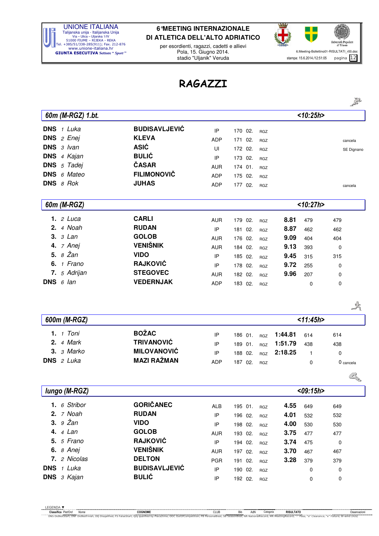

per esordienti, ragazzi, cadetti e allievi Pola, 15. Giugno 2014. stadio "Uljanik" Veruda



## RAGAZZI

|                            |                      |            |            |                          |         |              |             | ≤            |
|----------------------------|----------------------|------------|------------|--------------------------|---------|--------------|-------------|--------------|
| 60m (M-RGZ) 1.bt.          |                      |            |            |                          |         | < 10:25h>    |             |              |
| DNS 1 Luka                 | <b>BUDISAVLJEVIĆ</b> | IP         | 170 02.    | <b>RGZ</b>               |         |              |             |              |
| <b>DNS</b> $2$ <i>Enej</i> | <b>KLEVA</b>         | ADP        | 171<br>02. | RGZ                      |         |              |             | cancela      |
| DNS 3 Ivan                 | <b>ASIĆ</b>          | UI         | 02.<br>172 | <b>RGZ</b>               |         |              |             | SE Dignano   |
| DNS 4 Kajan                | <b>BULIĆ</b>         | IP         | 173<br>02. | <b>RGZ</b>               |         |              |             |              |
| DNS 5 Tadej                | ČASAR                | AUR        | 01.<br>174 | RGZ                      |         |              |             |              |
| <b>DNS</b> 6 Mateo         | <b>FILIMONOVIČ</b>   | <b>ADP</b> | 175<br>02. | <b>RGZ</b>               |         |              |             |              |
| DNS 8 Rok                  | <b>JUHAS</b>         | <b>ADP</b> | 177 02.    | <b>RGZ</b>               |         |              |             | cancela      |
| 60m (M-RGZ)                |                      |            |            |                          |         | < 10:27h>    |             |              |
| 1. $2$ Luca                | <b>CARLI</b>         | <b>AUR</b> | 179 02.    | <b>RGZ</b>               | 8.81    | 479          | 479         |              |
| 4 Noah<br>2.               | <b>RUDAN</b>         | IP         | 02.<br>181 |                          | 8.87    | 462          | 462         |              |
| 3 Lan<br>3.                | <b>GOLOB</b>         | AUR        | 176 02.    | <b>RGZ</b><br><b>RGZ</b> | 9.09    | 404          | 404         |              |
| 4. 7 Anej                  | <b>VENIŠNIK</b>      | <b>AUR</b> | 184<br>02. | <b>RGZ</b>               | 9.13    | 393          | 0           |              |
| 8 Žan<br>5.                | <b>VIDO</b>          | IP         | 185<br>02. | <b>RGZ</b>               | 9.45    | 315          | 315         |              |
| 6. $1$ Frano               | <b>RAJKOVIĆ</b>      | IP         | 178 02.    | RGZ                      | 9.72    | 255          | 0           |              |
| 7. 5 Adrijan               | <b>STEGOVEC</b>      | <b>AUR</b> | 182<br>02. | <b>RGZ</b>               | 9.96    | 207          | 0           |              |
| DNS $6$ lan                | <b>VEDERNJAK</b>     | <b>ADP</b> | 183 02.    | <b>RGZ</b>               |         | 0            | 0           |              |
|                            |                      |            |            |                          |         |              |             | 25           |
| 600m (M-RGZ)               |                      |            |            |                          |         | < 11:45h>    |             |              |
| 1. $1$ Toni                | <b>BOŽAC</b>         | IP         | 186 01.    | <b>RGZ</b>               | 1:44.81 | 614          | 614         |              |
| 4 Mark<br>2.               | <b>TRIVANOVIĆ</b>    | IP         | 01.<br>189 | <b>RGZ</b>               | 1:51.79 | 438          | 438         |              |
| $3.3$ Marko                | <b>MILOVANOVIĆ</b>   | IP         | 02.<br>188 | <b>RGZ</b>               | 2:18.25 | $\mathbf{1}$ | $\mathbf 0$ |              |
| DNS 2 Luka                 | <b>MAZI RAŽMAN</b>   | <b>ADP</b> | 187<br>02. | <b>RGZ</b>               |         | 0            |             | 0 cancela    |
|                            |                      |            |            |                          |         |              |             | $\mathbb{Z}$ |
| lungo (M-RGZ)              |                      |            |            |                          |         | <09:15h>     |             |              |
| 1. $6$ Stribor             | <b>GORIČANEC</b>     | ALB        | 195 01.    | RGZ                      | 4.55    | 649          | 649         |              |
| 2. $7$ Noah                | <b>RUDAN</b>         | $\sf IP$   | 196 02.    | RGZ                      | 4.01    | 532          | 532         |              |
| 9 Žan<br>3.                | <b>VIDO</b>          | IP         | 198 02.    | RGZ                      | 4.00    | 530          | 530         |              |
| <b>4.</b> 4 Lan            | <b>GOLOB</b>         | <b>AUR</b> | 193 02.    | RGZ                      | 3.75    | 477          | 477         |              |
| <b>5.</b> <i>5 Frano</i>   | <b>RAJKOVIĆ</b>      | $\sf IP$   | 194 02.    | RGZ                      | 3.74    | 475          | 0           |              |
| <b>6.</b> 8 Anej           | <b>VENIŠNIK</b>      | <b>AUR</b> | 197 02.    | <b>RGZ</b>               | 3.70    | 467          | 467         |              |
| 7. 2 Nicolas               | <b>DELTON</b>        | PGR        | 191 02.    | RGZ                      | 3.28    | 379          | 379         |              |
| DNS 1 Luka                 | <b>BUDISAVLJEVIĆ</b> | IP         | 190 02.    | <b>RGZ</b>               |         | 0            | $\pmb{0}$   |              |
| DNS 3 Kajan                | <b>BULIĆ</b>         | IP         | 192 02.    | $_{\rm RGZ}$             |         | 0            | 0           |              |
|                            |                      |            |            |                          |         |              |             |              |

్రై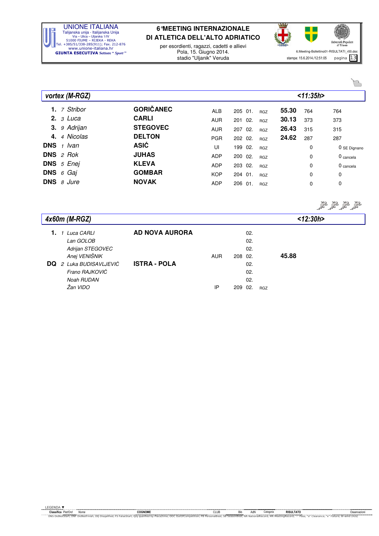

per esordienti, ragazzi, cadetti e allievi Pola, 15. Giugno 2014. stadio "Uljanik" Veruda



| vortex (M-RGZ)             |                  |            |         |            |       | < 11:35h> |                      |
|----------------------------|------------------|------------|---------|------------|-------|-----------|----------------------|
| 7 Stribor<br>1.            | <b>GORIČANEC</b> | <b>ALB</b> | 205 01. | <b>RGZ</b> | 55.30 | 764       | 764                  |
| 2. $3$ Luca                | <b>CARLI</b>     | <b>AUR</b> | 201 02. | <b>RGZ</b> | 30.13 | 373       | 373                  |
| 3. 9 Adrijan               | <b>STEGOVEC</b>  | <b>AUR</b> | 207 02. | <b>RGZ</b> | 26.43 | 315       | 315                  |
| 4 Nicolas<br>4.            | <b>DELTON</b>    | <b>PGR</b> | 202 02. | <b>RGZ</b> | 24.62 | 287       | 287                  |
| <b>DNS</b> $1$ <i>lvan</i> | <b>ASIĆ</b>      | UI         | 199 02. | <b>RGZ</b> |       | 0         | 0 SE Dignano         |
| <b>DNS</b> $2$ Rok         | <b>JUHAS</b>     | <b>ADP</b> | 200 02. | <b>RGZ</b> |       | 0         | 0 cancela            |
| DNS 5 Enej                 | <b>KLEVA</b>     | <b>ADP</b> | 203 02. | <b>RGZ</b> |       | 0         | 0 <sub>cancela</sub> |
| <b>DNS</b> $6$ Gaj         | <b>GOMBAR</b>    | <b>KOP</b> | 204 01. | <b>RGZ</b> |       | 0         | 0                    |
| <b>DNS</b> $\theta$ Jure   | <b>NOVAK</b>     | <b>ADP</b> | 206 01. | <b>RGZ</b> |       | 0         | 0                    |
|                            |                  |            |         |            |       |           |                      |

50 50 50 50

 $\sim$ 

|    | 4x60m (M-RGZ)                                                                                                                    |                                              |                  |                |                                                |            | < 12:30h> |  |
|----|----------------------------------------------------------------------------------------------------------------------------------|----------------------------------------------|------------------|----------------|------------------------------------------------|------------|-----------|--|
| DQ | Luca CARLI<br>Lan GOLOB<br>Adrijan STEGOVEC<br>Anej VENIŠNIK<br>2 Luka BUDISAVLJEVIĆ<br>Frano RAJKOVIĆ<br>Noah RUDAN<br>Žan VIDO | <b>AD NOVA AURORA</b><br><b>ISTRA - POLA</b> | <b>AUR</b><br>IP | 208 02.<br>209 | 02.<br>02.<br>02.<br>02.<br>02.<br>02.<br>-02. | <b>RGZ</b> | 45.88     |  |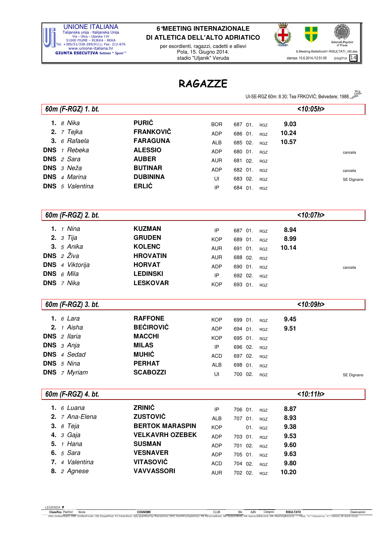

per esordienti, ragazzi, cadetti e allievi Pola, 15. Giugno 2014. stadio "Uljanik" Veruda



### RAGAZZE

UI-SE-RGZ 60m: 8.30; Tea FRKOVIĆ; Belvedere; 1988.

|            |                          |                        |            |                    |            | UI-SE-RGZ 60m. 6.30, Tea FRKOVIC, Belvedere, 1988. |            |
|------------|--------------------------|------------------------|------------|--------------------|------------|----------------------------------------------------|------------|
|            | 60m (F-RGZ) 1. bt.       |                        |            |                    |            | $<$ 10:05h>                                        |            |
|            | 1. $8$ Nika              | <b>PURIĆ</b>           | <b>BOR</b> | 687 01.            | <b>RGZ</b> | 9.03                                               |            |
|            | <b>2.</b> <i>7 Tejka</i> | <b>FRANKOVIČ</b>       | <b>ADP</b> | 686 01.            | <b>RGZ</b> | 10.24                                              |            |
| 3.         | 6 Rafaela                | <b>FARAGUNA</b>        | ALB        | 685 02.            | <b>RGZ</b> | 10.57                                              |            |
| <b>DNS</b> | 1 Rebeka                 | <b>ALESSIO</b>         | ADP        | 680 01.            | <b>RGZ</b> |                                                    | cancela    |
| <b>DNS</b> | 2 Sara                   | <b>AUBER</b>           | AUR        | 681 02.            | <b>RGZ</b> |                                                    |            |
| <b>DNS</b> | з Neža                   | <b>BUTINAR</b>         | <b>ADP</b> | 682 01.            | <b>RGZ</b> |                                                    | cancela    |
| <b>DNS</b> | 4 Marina                 | <b>DUBININA</b>        | UI         | 683 02.            | <b>RGZ</b> |                                                    | SE Dignano |
|            | <b>DNS</b> 5 Valentina   | <b>ERLIĆ</b>           | IP         | 684 01.            | <b>RGZ</b> |                                                    |            |
|            |                          |                        |            |                    |            |                                                    |            |
|            | 60m (F-RGZ) 2. bt.       |                        |            |                    |            | $<$ 10:07h>                                        |            |
|            | 1. $1$ Nina              | <b>KUZMAN</b>          |            |                    |            | 8.94                                               |            |
|            | <b>2.</b> <i>3 Tija</i>  | <b>GRUDEN</b>          | ΙP         | 687 01.<br>689 01. | <b>RGZ</b> | 8.99                                               |            |
|            | <b>3.</b> 5 Anika        | <b>KOLENC</b>          | <b>KOP</b> |                    | <b>RGZ</b> | 10.14                                              |            |
| <b>DNS</b> | 2 Živa                   | <b>HROVATIN</b>        | <b>AUR</b> | 691 01.            | RGZ        |                                                    |            |
|            | <b>DNS</b> 4 Viktorija   | <b>HORVAT</b>          | <b>AUR</b> | 688 02.            | <b>RGZ</b> |                                                    |            |
|            | DNS 6 Mila               | <b>LEDINSKI</b>        | ADP        | 690 01.            | <b>RGZ</b> |                                                    | cancela    |
|            | <b>DNS</b> 7 Nika        | <b>LESKOVAR</b>        | IP         | 692 02.            | <b>RGZ</b> |                                                    |            |
|            |                          |                        | <b>KOP</b> | 693 01.            | <b>RGZ</b> |                                                    |            |
|            | 60m (F-RGZ) 3. bt.       |                        |            |                    |            | <10:09h>                                           |            |
|            | 1. $6$ Lara              | <b>RAFFONE</b>         | <b>KOP</b> | 699 01.            | <b>RGZ</b> | 9.45                                               |            |
|            | 2. $1$ Aisha             | <b>BEĆIROVIĆ</b>       | <b>ADP</b> | 694 01.            | <b>RGZ</b> | 9.51                                               |            |
| <b>DNS</b> | 2 Ilaria                 | <b>MACCHI</b>          | <b>KOP</b> | 695 01.            |            |                                                    |            |
|            | DNS 3 Anja               | <b>MILAS</b>           | IP         | 696 02.            | <b>RGZ</b> |                                                    |            |
|            | <b>DNS</b> 4 Sedad       | <b>MUHIĆ</b>           | <b>ACD</b> | 697 02.            | <b>RGZ</b> |                                                    |            |
| <b>DNS</b> | 5 Nina                   | <b>PERHAT</b>          | <b>ALB</b> | 698 01.            | <b>RGZ</b> |                                                    |            |
|            | <b>DNS</b> 7 Myriam      | <b>SCABOZZI</b>        | UI         | 700 02.            | <b>RGZ</b> |                                                    |            |
|            |                          |                        |            |                    | <b>RGZ</b> |                                                    | SE Dignano |
|            | 60m (F-RGZ) 4. bt.       |                        |            |                    |            | <10:11h>                                           |            |
|            | 1. $6$ Luana             | <b>ZRINIĆ</b>          | IP         | 706 01.            | RGZ        | 8.87                                               |            |
|            | 2. 7 Ana-Elena           | <b>ZUSTOVIĆ</b>        | ALB        | 707 01.            | <b>RGZ</b> | 8.93                                               |            |
|            | <b>3.</b> 8 Teja         | <b>BERTOK MARASPIN</b> | <b>KOP</b> | 01.                | RGZ        | 9.38                                               |            |
|            | <b>4.</b> <i>3 Gaja</i>  | <b>VELKAVRH OZEBEK</b> | ADP        | 703 01.            | RGZ        | 9.53                                               |            |
|            | <b>5.</b> <i>1 Hana</i>  | <b>SUSMAN</b>          | ADP        | 701 02.            | RGZ        | 9.60                                               |            |
|            | <b>6.</b> <i>5 Sara</i>  | <b>VESNAVER</b>        | <b>ADP</b> | 705 01.            | <b>RGZ</b> | 9.63                                               |            |
|            | 7. 4 Valentina           | <b>VITASOVIĆ</b>       | <b>ACD</b> | 704 02.            | <b>RGZ</b> | 9.80                                               |            |
|            | 8. 2 Agnese              | <b>VAVVASSORI</b>      | <b>AUR</b> | 702 02.            | <b>RGZ</b> | 10.20                                              |            |
|            |                          |                        |            |                    |            |                                                    |            |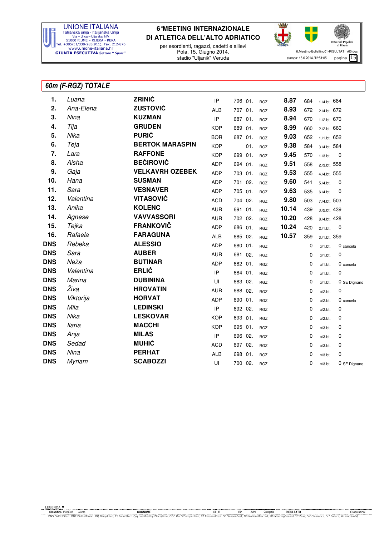

per esordienti, ragazzi, cadetti e allievi Pola, 15. Giugno 2014. stadio "Uljanik" Veruda



### 60m (F-RGZ) TOTALE

| 1.         | Luana         | ZRINIĆ                 | IP         | 706 01. | <b>RGZ</b> | 8.87  | 684         | 1./4.bt. 684    |              |
|------------|---------------|------------------------|------------|---------|------------|-------|-------------|-----------------|--------------|
| 2.         | Ana-Elena     | <b>ZUSTOVIĆ</b>        | <b>ALB</b> | 707 01. | <b>RGZ</b> | 8.93  | 672         | 2./4.bt. 672    |              |
| 3.         | Nina          | <b>KUZMAN</b>          | IP         | 687 01. | <b>RGZ</b> | 8.94  | 670         | 1./2.bt. 670    |              |
| 4.         | Tija          | <b>GRUDEN</b>          | <b>KOP</b> | 689 01. | <b>RGZ</b> | 8.99  | 660         | 2./2.bt. 660    |              |
| 5.         | Nika          | <b>PURIĆ</b>           | <b>BOR</b> | 687 01. | <b>RGZ</b> | 9.03  | 652         | 1./1.bt. 652    |              |
| 6.         | Teja          | <b>BERTOK MARASPIN</b> | <b>KOP</b> | 01.     | <b>RGZ</b> | 9.38  | 584         | 3./4.bt. 584    |              |
| 7.         | Lara          | <b>RAFFONE</b>         | <b>KOP</b> | 699 01. | <b>RGZ</b> | 9.45  | 570         | 1./3.5t.        | 0            |
| 8.         | Aisha         | <b>BEĆIROVIĆ</b>       | ADP        | 694 01. | <b>RGZ</b> | 9.51  | 558         | $2.73.$ bt. 558 |              |
| 9.         | Gaja          | <b>VELKAVRH OZEBEK</b> | <b>ADP</b> | 703 01. | RGZ        | 9.53  | 555         | 4./4.bt. 555    |              |
| 10.        | Hana          | <b>SUSMAN</b>          | <b>ADP</b> | 701 02. | <b>RGZ</b> | 9.60  | 541         | $5./4.$ bt.     | 0            |
| 11.        | Sara          | <b>VESNAVER</b>        | <b>ADP</b> | 705 01. | <b>RGZ</b> | 9.63  | 535         | $6./4.$ bt.     | 0            |
| 12.        | Valentina     | <b>VITASOVIĆ</b>       | <b>ACD</b> | 704 02. | <b>RGZ</b> | 9.80  | 503         | 7./4.bt. 503    |              |
| 13.        | Anika         | <b>KOLENC</b>          | <b>AUR</b> | 691 01. | RGZ        | 10.14 | 439         | 3./2.bt. 439    |              |
| 14.        | Agnese        | <b>VAVVASSORI</b>      | <b>AUR</b> | 702 02. | <b>RGZ</b> | 10.20 | 428         | 8./4.bt. 428    |              |
| 15.        | Tejka         | <b>FRANKOVIČ</b>       | ADP        | 686 01. | RGZ        | 10.24 | 420         | 2./1.bt.        | 0            |
| 16.        | Rafaela       | <b>FARAGUNA</b>        | <b>ALB</b> | 685 02. | <b>RGZ</b> | 10.57 | 359         | 3./1.bt. 359    |              |
| <b>DNS</b> | Rebeka        | <b>ALESSIO</b>         | ADP        | 680 01. | <b>RGZ</b> |       | 0           | $x/1.$ bt.      | 0 cancela    |
| <b>DNS</b> | Sara          | <b>AUBER</b>           | <b>AUR</b> | 681 02. | <b>RGZ</b> |       | 0           | $x/1.$ bt.      | 0            |
| <b>DNS</b> | Neža          | <b>BUTINAR</b>         | ADP        | 682 01. | <b>RGZ</b> |       | 0           | $x/1.$ bt.      | 0 cancela    |
| <b>DNS</b> | Valentina     | <b>ERLIĆ</b>           | IP         | 684 01. | <b>RGZ</b> |       | 0           | $x/1.$ bt.      | 0            |
| <b>DNS</b> | Marina        | <b>DUBININA</b>        | UI         | 683 02. | RGZ        |       | 0           | $x/1.$ bt.      | 0 SE Dignano |
| <b>DNS</b> | Živa          | <b>HROVATIN</b>        | <b>AUR</b> | 688 02. | <b>RGZ</b> |       | 0           | $x/2.$ bt.      | 0            |
| <b>DNS</b> | Viktorija     | <b>HORVAT</b>          | ADP        | 690 01. | <b>RGZ</b> |       | 0           | $x/2.$ bt.      | $0$ cancela  |
| <b>DNS</b> | Mila          | <b>LEDINSKI</b>        | IP         | 692 02. | <b>RGZ</b> |       | 0           | $x/2.$ bt.      | 0            |
| <b>DNS</b> | Nika          | <b>LESKOVAR</b>        | <b>KOP</b> | 693 01. | <b>RGZ</b> |       | 0           | $x/2.$ bt.      | 0            |
| <b>DNS</b> | <b>Ilaria</b> | <b>MACCHI</b>          | <b>KOP</b> | 695 01. | <b>RGZ</b> |       | $\mathbf 0$ | $x/3.$ bt.      | 0            |
| <b>DNS</b> | Anja          | <b>MILAS</b>           | IP         | 696 02. | <b>RGZ</b> |       | 0           | $x/3.$ bt.      | 0            |
| dns        | Sedad         | <b>MUHIĆ</b>           | <b>ACD</b> | 697 02. | <b>RGZ</b> |       | 0           | $x/3.$ bt.      | 0            |
| dns        | Nina          | <b>PERHAT</b>          | <b>ALB</b> | 698 01. | <b>RGZ</b> |       | 0           | $x/3.$ bt.      | 0            |
| <b>DNS</b> | <b>Myriam</b> | <b>SCABOZZI</b>        | UI         | 700 02. | <b>RGZ</b> |       | 0           | $x/3.$ bt.      | 0 SE Dignano |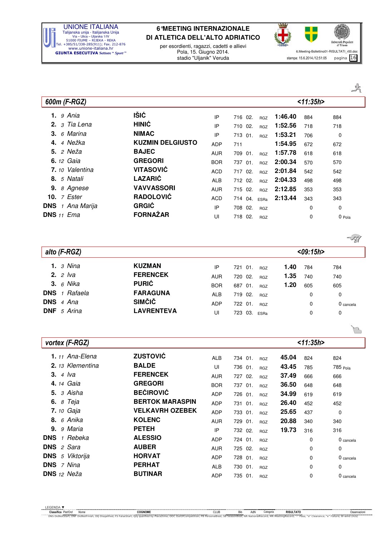

per esordienti, ragazzi, cadetti e allievi Pola, 15. Giugno 2014. stadio "Uljanik" Veruda



B

| 600m (F-RGZ)               |                         |            |         |            |         | < 11:35h> |        |
|----------------------------|-------------------------|------------|---------|------------|---------|-----------|--------|
| <b>1.</b> 9 Ania           | IŠIĆ                    | IP         | 716 02. | <b>RGZ</b> | 1:46.40 | 884       | 884    |
| 2. $3$ Tia Lena            | <b>HINIĆ</b>            | IP         | 710 02. | <b>RGZ</b> | 1:52.56 | 718       | 718    |
| 3. $6$ Marina              | <b>NIMAC</b>            | IP         | 713 01. | <b>RGZ</b> | 1:53.21 | 706       | 0      |
| 4 Nežka<br>4.              | <b>KUZMIN DELGIUSTO</b> | <b>ADP</b> | 711     |            | 1:54.95 | 672       | 672    |
| <b>5.</b> 2 Neža           | <b>BAJEC</b>            | <b>AUR</b> | 709 01. | <b>RGZ</b> | 1:57.78 | 618       | 618    |
| <b>6.</b> 12 Gaia          | <b>GREGORI</b>          | <b>BOR</b> | 737 01. | <b>RGZ</b> | 2:00.34 | 570       | 570    |
| 7. <sub>10</sub> Valentina | <b>VITASOVIĆ</b>        | <b>ACD</b> | 717 02. | <b>RGZ</b> | 2:01.84 | 542       | 542    |
| 8. 5 Natali                | <b>LAZARIĆ</b>          | <b>ALB</b> | 712 02. | <b>RGZ</b> | 2:04.33 | 498       | 498    |
| 9. 8 Agnese                | <b>VAVVASSORI</b>       | <b>AUR</b> | 715 02. | <b>RGZ</b> | 2:12.85 | 353       | 353    |
| 10. $7$ Ester              | <b>RADOLOVIĆ</b>        | <b>ACD</b> | 714 04. | ESRa       | 2:13.44 | 343       | 343    |
| <b>DNS</b> 1 Ana Marija    | <b>GRGIĆ</b>            | IP         | 708 02. | <b>RGZ</b> |         | 0         | 0      |
| <b>DNS</b> $11$ <i>Ema</i> | <b>FORNAŽAR</b>         | UI         | 718 02. | <b>RGZ</b> |         | 0         | 0 Pola |

|                          |                   |            |         |            |      |          | $\sqrt{10}$ |
|--------------------------|-------------------|------------|---------|------------|------|----------|-------------|
| alto (F-RGZ)             |                   |            |         |            |      | <09:15h> |             |
| 1. $3$ Nina              | <b>KUZMAN</b>     | IP         | 721 01. | <b>RGZ</b> | 1.40 | 784      | 784         |
| <b>2.</b> $2$ <i>lva</i> | <b>FERENCEK</b>   | <b>AUR</b> | 720 02. | <b>RGZ</b> | 1.35 | 740      | 740         |
| <b>3.</b> 6 Nika         | <b>PURIĆ</b>      | <b>BOR</b> | 687 01. | <b>RGZ</b> | 1.20 | 605      | 605         |
| <b>DNS</b> 1 Rafaela     | <b>FARAGUNA</b>   | <b>ALB</b> | 719 02. | <b>RGZ</b> |      | 0        | 0           |
| DNS 4 Ana                | <b>SIMČIČ</b>     | <b>ADP</b> | 722 01. | <b>RGZ</b> |      | 0        | 0 cancela   |
| <b>DNF</b> 5 Arina       | <b>LAVRENTEVA</b> | UI         | 723 03. | ESRa       |      | 0        | 0           |

| <b>ZUSTOVIĆ</b>        | <b>ALB</b> | 734 01. | 45.04<br><b>RGZ</b> | 824      | 824       |
|------------------------|------------|---------|---------------------|----------|-----------|
| <b>BALDE</b>           | UI         | 736 01. | 43.45<br><b>RGZ</b> | 785      | 785 Pola  |
| <b>FERENCEK</b>        | <b>AUR</b> | 727 02. | 37.49<br><b>RGZ</b> | 666      | 666       |
| <b>GREGORI</b>         | <b>BOR</b> | 737 01. | 36.50<br><b>RGZ</b> | 648      | 648       |
| <b>BEĆIROVIĆ</b>       | <b>ADP</b> | 726 01. | 34.99<br><b>RGZ</b> | 619      | 619       |
| <b>BERTOK MARASPIN</b> | <b>ADP</b> | 731 01. | 26.40<br><b>RGZ</b> | 452      | 452       |
| <b>VELKAVRH OZEBEK</b> | <b>ADP</b> | 733 01. | 25.65<br><b>RGZ</b> | 437      | 0         |
| <b>KOLENC</b>          | <b>AUR</b> | 729 01. | 20.88<br><b>RGZ</b> | 340      | 340       |
| <b>PETEH</b>           | IP         | 732 02. | 19.73<br><b>RGZ</b> | 316      | 316       |
| <b>ALESSIO</b>         | <b>ADP</b> | 724 01. | <b>RGZ</b>          | 0        | 0 cancela |
| <b>AUBER</b>           | <b>AUR</b> | 725 02. | <b>RGZ</b>          | 0        | 0         |
| <b>HORVAT</b>          | <b>ADP</b> | 728 01. | <b>RGZ</b>          | $\Omega$ | 0 cancela |
| <b>PERHAT</b>          | <b>ALB</b> | 730 01. | <b>RGZ</b>          | 0        | 0         |
| <b>BUTINAR</b>         | <b>ADP</b> | 735 01. | <b>RGZ</b>          | 0        | 0 cancela |
|                        |            |         |                     |          | < 11:35h> |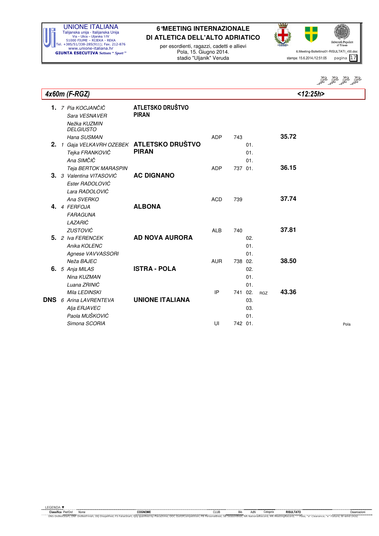

per esordienti, ragazzi, cadetti e allievi Pola, 15. Giugno 2014. stadio "Uljanik" Veruda



Stal Stal Stal

|     | 4x60m (F-RGZ)                                                                           |                                                         |                          |                    |                   |            | $<$ 12:25h>    |      |
|-----|-----------------------------------------------------------------------------------------|---------------------------------------------------------|--------------------------|--------------------|-------------------|------------|----------------|------|
|     | <b>1.</b> <i>7 Pia KOCJANČIČ</i><br>Sara VESNAVER<br>Nežka KUZMIN<br><b>DELGIUSTO</b>   | ATLETSKO DRUŠTVO<br><b>PIRAN</b>                        |                          |                    |                   |            |                |      |
| 2.  | Hana SUSMAN<br>Tejka FRANKOVIČ<br>Ana SIMČIČ                                            | 1 Gaja VELKAVRH OZEBEK ATLETSKO DRUŠTVO<br><b>PIRAN</b> | ADP                      | 743                | 01.<br>01.<br>01. |            | 35.72          |      |
|     | Teja BERTOK MARASPIN<br>3. 3 Valentina VITASOVIĆ<br>Ester RADOLOVIĆ<br>Lara RADOLOVIĆ   | <b>AC DIGNANO</b>                                       | <b>ADP</b>               | 737 01.            |                   |            | 36.15          |      |
|     | Ana SVERKO<br>4. 4 FERFOJA<br><b>FARAGUNA</b><br>LAZARIĆ                                | <b>ALBONA</b>                                           | <b>ACD</b>               | 739                |                   |            | 37.74          |      |
|     | <b>ZUSTOVIĆ</b><br>5. 2 Iva FERENCEK<br>Anika KOLENC<br>Agnese VAVVASSORI<br>Neža BAJEC | <b>AD NOVA AURORA</b>                                   | <b>ALB</b><br><b>AUR</b> | 740<br>738 02.     | 02.<br>01.<br>01. |            | 37.81<br>38.50 |      |
|     | 6. 5 Anja MILAS<br>Nina KUZMAN<br>Luana ZRINIĆ                                          | <b>ISTRA - POLA</b>                                     |                          |                    | 02.<br>01.<br>01. |            |                |      |
| DNS | Mila LEDINSKI<br>6 Arina LAVRENTEVA<br>Alja ERJAVEC<br>Paola MUŠKOVIĆ<br>Simona SCORIA  | <b>UNIONE ITALIANA</b>                                  | IP<br>UI                 | 741 02.<br>742 01. | 03.<br>03.<br>01. | <b>RGZ</b> | 43.36          | Pola |
|     |                                                                                         |                                                         |                          |                    |                   |            |                |      |

EGENDA TRINITY OF THE COOL COOLS COOLS COOLS COOLS COOLS COOLS COOLS COOLS COOLS COOLS COOLS COOLS COOLS COOLS COOLS COOLS COOLS COOLS COOLS COOLS COOLS COOLS COOLS COOLS COOLS COOLS COOLS COOLS COOLS COOLS COOLS COOLS COO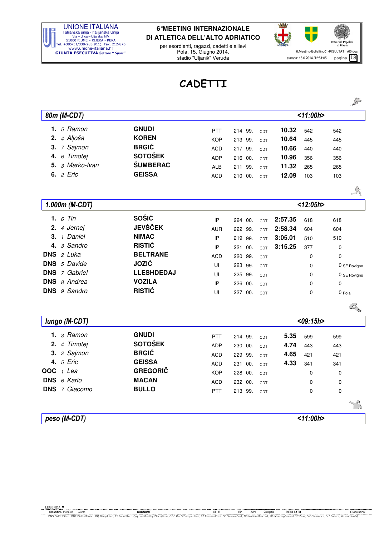

per esordienti, ragazzi, cadetti e allievi Pola, 15. Giugno 2014. stadio "Uljanik" Veruda



 $\sum_{r=1}^{\infty}$ 

### CADETTI

|                         |                   |            |            |     |         |             | ⋍            |
|-------------------------|-------------------|------------|------------|-----|---------|-------------|--------------|
| 80m (M-CDT)             |                   |            |            |     |         | < 11:00h>   |              |
| 1. $5$ Ramon            | <b>GNUDI</b>      | <b>PTT</b> | 214 99.    | CDT | 10.32   | 542         | 542          |
| 2. 4 Aljoša             | <b>KOREN</b>      | <b>KOP</b> | 213 99.    | CDT | 10.64   | 445         | 445          |
| 7 Sajmon<br>3.          | <b>BRGIĆ</b>      | <b>ACD</b> | 217 99.    | CDT | 10.66   | 440         | 440          |
| 6 Timotej<br>4.         | <b>SOTOŠEK</b>    | <b>ADP</b> | 216 00.    | CDT | 10.96   | 356         | 356          |
| 3 Marko-Ivan<br>5.      | <b>ŠUMBERAC</b>   | <b>ALB</b> | 211 99.    | CDT | 11.32   | 265         | 265          |
| <b>6.</b> <i>2 Eric</i> | <b>GEISSA</b>     | <b>ACD</b> | 210 00.    | CDT | 12.09   | 103         | 103          |
|                         |                   |            |            |     |         |             |              |
|                         |                   |            |            |     |         |             | 式            |
| 1.000m (M-CDT)          |                   |            |            |     |         | $<$ 12:05h> |              |
| 1. $6$ Tin              | <b>SOŠIĆ</b>      | IP         | 224 00.    | CDT | 2:57.35 | 618         | 618          |
| 4 Jernej<br>2.          | <b>JEVŠČEK</b>    | <b>AUR</b> | 222 99.    | CDT | 2:58.34 | 604         | 604          |
| 1 Daniel<br>З.          | <b>NIMAC</b>      | IP         | 219 99.    | CDT | 3:05.01 | 510         | 510          |
| 3 Sandro<br>4.          | <b>RISTIĆ</b>     | IP         | 221 00.    | CDT | 3:15.25 | 377         | 0            |
| <b>DNS</b><br>2 Luka    | <b>BELTRANE</b>   | <b>ACD</b> | 220 99.    | CDT |         | $\mathbf 0$ | $\mathbf 0$  |
| <b>DNS</b><br>5 Davide  | <b>JOZIĆ</b>      | UI         | 223 99.    | CDT |         | $\mathbf 0$ | 0 SE Rovigno |
| <b>DNS</b> 7 Gabriel    | <b>LLESHDEDAJ</b> | UI         | 225 99.    | CDT |         | 0           | 0 SE Rovigno |
| <b>DNS</b> 8 Andrea     | <b>VOZILA</b>     | IP         | 00.<br>226 | CDT |         | 0           | 0            |
| 9 Sandro<br><b>DNS</b>  | <b>RISTIĆ</b>     | UI         | 227 00.    | CDT |         | $\mathbf 0$ | 0 Pola       |
|                         |                   |            |            |     |         |             | <b>AND</b>   |
| lungo (M-CDT)           |                   |            |            |     |         | $<$ 09:15h> |              |
| $1.3$ Ramon             | <b>GNUDI</b>      | PTT        | 214 99.    | CDT | 5.35    | 599         | 599          |
| 4 Timotej<br>2.         | <b>SOTOŠEK</b>    | <b>ADP</b> | 230 00.    | CDT | 4.74    | 443         | 443          |
| 2 Sajmon<br>3.          | <b>BRGIĆ</b>      | <b>ACD</b> | 229 99.    | CDT | 4.65    | 421         | 421          |
| 4. 5 Eric               | <b>GEISSA</b>     | <b>ACD</b> | 231 00.    | CDT | 4.33    | 341         | 341          |
| <b>OOC</b><br>1 Lea     | <b>GREGORIČ</b>   | <b>KOP</b> | 228 00.    | CDT |         | $\mathbf 0$ | 0            |
| <b>DNS</b><br>6 Karlo   | <b>MACAN</b>      | <b>ACD</b> | 232 00.    | CDT |         | 0           | 0            |
| <b>DNS</b> 7 Giacomo    | <b>BULLO</b>      | PTT        | 213 99.    | CDT |         | 0           | $\mathbf 0$  |
|                         |                   |            |            |     |         |             |              |
| peso (M-CDT)            |                   |            |            |     |         | < 11:00h    |              |
|                         |                   |            |            |     |         |             |              |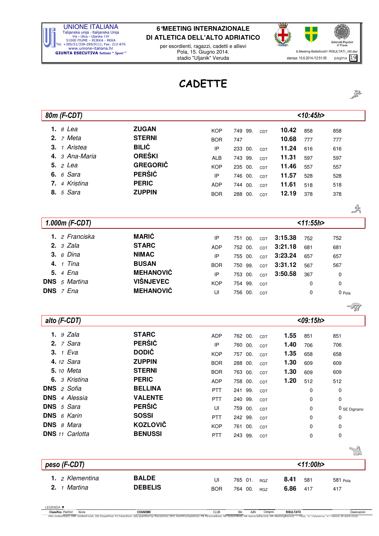

per esordienti, ragazzi, cadetti e allievi Pola, 15. Giugno 2014. stadio "Uljanik" Veruda



533

# CADETTE

| 80m (F-CDT)             |                  |            |            |            |         | < 10:45h>    |              |
|-------------------------|------------------|------------|------------|------------|---------|--------------|--------------|
| 1. $8$ Lea              | <b>ZUGAN</b>     | <b>KOP</b> | 749 99.    | CDT        | 10.42   | 858          | 858          |
| 2. $7$ Meta             | <b>STERNI</b>    | <b>BOR</b> | 747        |            | 10.68   | 777          | 777          |
| 1 Aristea<br>3.         | <b>BILIĆ</b>     | IP         | 233 00.    | CDT        | 11.24   | 616          | 616          |
| 3 Ana-Maria<br>4.       | <b>OREŠKI</b>    | <b>ALB</b> | 743 99.    | CDT        | 11.31   | 597          | 597          |
| <b>5.</b> <i>2 Lea</i>  | <b>GREGORIČ</b>  | <b>KOP</b> | 235<br>00. | CDT        | 11.46   | 557          | 557          |
| <b>6.</b> 6 Sara        | <b>PERŠIĆ</b>    | IP         | 746 00.    | CDT        | 11.57   | 528          | 528          |
| 4 Kristina<br>7.        | <b>PERIC</b>     | ADP        | 744<br>00. | CDT        | 11.61   | 518          | 518          |
| <b>8.</b> 5 Sara        | <b>ZUPPIN</b>    | <b>BOR</b> | 288 00.    | CDT        | 12.19   | 378          | 378          |
|                         |                  |            |            |            |         |              |              |
|                         |                  |            |            |            |         |              | $\mathbb{Z}$ |
| 1.000m (F-CDT)          |                  |            |            |            |         | < 11:55h>    |              |
| 1. 2 Franciska          | <b>MARIĆ</b>     | IP         | 751 00.    | CDT        | 3:15.38 | 752          | 752          |
| 2.3 Zala                | <b>STARC</b>     | <b>ADP</b> | 752 00.    | CDT        | 3:21.18 | 681          | 681          |
| 6 Dina<br>3.            | <b>NIMAC</b>     | IP         | 755 00.    | CDT        | 3:23.24 | 657          | 657          |
| 1 Tina<br>4.            | <b>BUSAN</b>     | <b>BOR</b> | 750 99.    | CDT        | 3:31.12 | 567          | 567          |
| 5. 4 Ena                | <b>MEHANOVIĆ</b> | IP         | 753 00.    | CDT        | 3:50.58 | 367          | 0            |
| <b>DNS</b><br>5 Martina | <b>VIŠNJEVEC</b> | <b>KOP</b> | 754<br>99. | CDT        |         | 0            | 0            |
| DNS 7 Ena               | <b>MEHANOVIĆ</b> | $\cup$     | 756 00.    | CDT        |         | 0            | 0 Pola       |
|                         |                  |            |            |            |         |              | -77          |
| alto (F-CDT)            |                  |            |            |            |         | $<$ 09:15h > |              |
| 1.9 Zala                | <b>STARC</b>     | ADP        | 762 00.    | CDT        | 1.55    | 851          | 851          |
| $2.7$ Sara              | <b>PERŠIĆ</b>    | IP         | 760 00.    | CDT        | 1.40    | 706          | 706          |
| 3. $1$ Eva              | <b>DODIČ</b>     | <b>KOP</b> | 757 00.    | CDT        | 1.35    | 658          | 658          |
| 4. 12 Sara              | <b>ZUPPIN</b>    | <b>BOR</b> | 288 00.    | CDT        | 1.30    | 609          | 609          |
| <b>5.</b> 10 Meta       | <b>STERNI</b>    | <b>BOR</b> | 763 00.    | CDT        | 1.30    | 609          | 609          |
| 6. 3 Kristina           | <b>PERIC</b>     | ADP        | 758 00.    | CDT        | 1.20    | 512          | 512          |
| DNS 2 Sofia             | <b>BELLINA</b>   | PTT        | 241 99.    | CDT        |         | $\Omega$     | $\Omega$     |
| <b>DNS</b> 4 Alessia    | <b>VALENTE</b>   | PTT.       | 240 99.    | CDT        |         | 0            | 0            |
| DNS 5 Sara              | <b>PERŠIĆ</b>    | UI         | 759 00.    | CDT        |         | 0            | 0 SE Dignano |
| DNS 6 Karin             | <b>SOSSI</b>     | <b>PTT</b> | 242 99.    | CDT        |         | 0            | 0            |
| DNS 8 Mara              | <b>KOZLOVIČ</b>  | <b>KOP</b> | 761 00.    | CDT        |         | 0            | 0            |
| <b>DNS</b> 11 Carlotta  | <b>BENUSSI</b>   | PTT        | 243 99.    | CDT        |         | 0            | 0            |
|                         |                  |            |            |            |         |              |              |
| peso (F-CDT)            |                  |            |            |            |         | < 11:00h>    |              |
| 1. 2 Klementina         | <b>BALDE</b>     |            |            |            | 8.41    |              |              |
| 2. $1$ Martina          | <b>DEBELIS</b>   | UI         | 765 01.    | <b>RGZ</b> | 6.86    | 581          | 581 Pola     |
|                         |                  | <b>BOR</b> | 764 00.    | <b>RGZ</b> |         | 417          | 417          |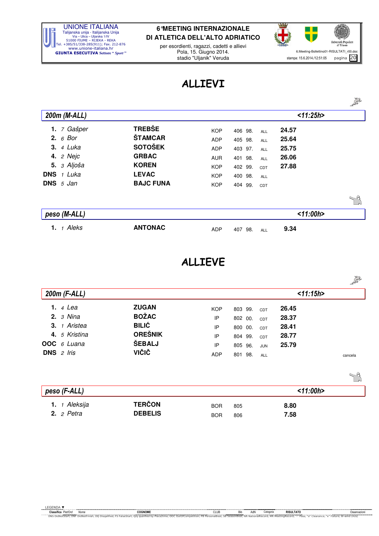

per esordienti, ragazzi, cadetti e allievi Pola, 15. Giugno 2014. stadio "Uljanik" Veruda



## ALLIEVI

|                         |                  |            |                          |           | 553 |
|-------------------------|------------------|------------|--------------------------|-----------|-----|
| 200m (M-ALL)            |                  |            |                          | < 11:25h> |     |
| 7 Gašper<br>1.          | <b>TREBŠE</b>    | <b>KOP</b> | 406 98.<br>ALL           | 24.57     |     |
| 2. $6$ Bor              | <b>ŠTAMCAR</b>   | <b>ADP</b> | 405 98.<br><b>ALL</b>    | 25.64     |     |
| <b>3.</b> 4 Luka        | <b>SOTOŠEK</b>   | <b>ADP</b> | 403 97.<br><b>ALL</b>    | 25.75     |     |
| <b>4.</b> <i>2 Nejc</i> | <b>GRBAC</b>     | <b>AUR</b> | 401<br>98.<br><b>ALL</b> | 26.06     |     |
| 5. 3 Aljoša             | <b>KOREN</b>     | <b>KOP</b> | 402 99.<br>CDT           | 27.88     |     |
| <b>DNS</b> 1 Luka       | <b>LEVAC</b>     | <b>KOP</b> | 400 98.<br><b>ALL</b>    |           |     |
| DNS 5 Jan               | <b>BAJC FUNA</b> | <b>KOP</b> | 404 99.<br>CDT           |           |     |
|                         |                  |            |                          |           | 7ª  |
| peso (M-ALL)            |                  |            |                          | < 11:00h> |     |
| 1 Aleks<br>1.           | <b>ANTONAC</b>   | <b>ADP</b> | 407<br>98.<br><b>ALL</b> | 9.34      |     |

### ALLIEVE

|                     |                |            |                       |           | 2013    |
|---------------------|----------------|------------|-----------------------|-----------|---------|
| 200m (F-ALL)        |                |            |                       | < 11:15h> |         |
| <b>1.</b> 4 Lea     | <b>ZUGAN</b>   | <b>KOP</b> | 803 99.<br>CDT        | 26.45     |         |
| 2.3 Nina            | <b>BOŽAC</b>   | IP         | 802 00.<br>CDT        | 28.37     |         |
| 3. 1 Aristea        | <b>BILIĆ</b>   | IP         | 800 00.<br>CDT        | 28.41     |         |
| 4. 5 Kristina       | <b>OREŠNIK</b> | IP         | 804 99.<br>CDT        | 28.77     |         |
| OOC 6 Luana         | <b>ŠEBALJ</b>  | IP         | 805 96.<br><b>JUN</b> | 25.79     |         |
| <b>DNS</b> $2$ Iris | VIČIČ          | <b>ADP</b> | 801 98.<br>ALL        |           | cancela |
|                     |                |            |                       |           |         |
| peso (F-ALL)        |                |            |                       | < 11:00h> |         |
| 1 Aleksija<br>1.    | <b>TERČON</b>  | <b>BOR</b> | 805                   | 8.80      |         |
| 2. $2$ Petra        | <b>DEBELIS</b> | <b>BOR</b> | 806                   | 7.58      |         |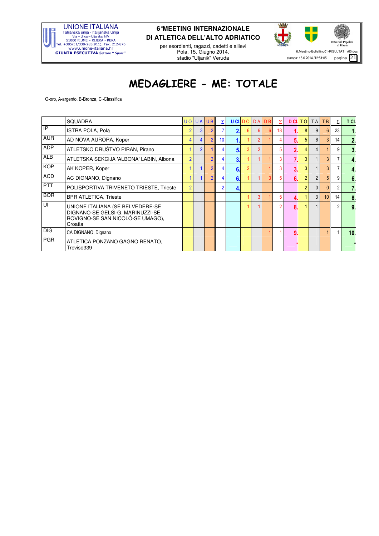

per esordienti, ragazzi, cadetti e allievi Pola, 15. Giugno 2014. stadio "Uljanik" Veruda



# MEDAGLIERE - ME: TOTALE

O-oro, A-argento, B-Bronza, Cl-Classifica

|            | <b>SQUADRA</b>                                                                                                      |                | <b>UO UA UB</b> |                | $\Sigma$        |    | <b>UCILDO</b> |                | <b>DA DB</b>   | Σ  |              | <b>DCITO</b>   | <b>TA</b>      | TB             | Σ              | T CI.          |
|------------|---------------------------------------------------------------------------------------------------------------------|----------------|-----------------|----------------|-----------------|----|---------------|----------------|----------------|----|--------------|----------------|----------------|----------------|----------------|----------------|
| IP         | <b>ISTRA POLA, Pola</b>                                                                                             | $\overline{2}$ | 3               | $\overline{2}$ |                 | Ω  | 6             | 6              | 6 <sup>1</sup> | 18 |              | 8              | 9              | 6.             | 23             |                |
| <b>AUR</b> | AD NOVA AURORA, Koper                                                                                               | 4              |                 | $\overline{2}$ | 10 <sup>1</sup> |    |               | $\overline{2}$ |                |    |              | 5              | 6              |                | 14             | 2.             |
| <b>ADP</b> | ATLETSKO DRUŠTVO PIRAN, Pirano                                                                                      |                | $\overline{2}$  |                |                 | 5. |               | 2              |                |    |              | 4              | 4              |                | 9              | 3.             |
| <b>ALB</b> | ATLETSKA SEKCIJA 'ALBONA' LABIN, Albona                                                                             | $\overline{2}$ |                 | $\overline{2}$ | 4               | 3. |               |                |                | 3  |              | 3              |                | 3 <sub>1</sub> |                | 4.             |
| <b>KOP</b> | AK KOPER, Koper                                                                                                     |                |                 | $\overline{2}$ |                 | 6. |               |                |                |    |              | 3              |                | 3              |                | 4.             |
| <b>ACD</b> | AC DIGNANO, Dignano                                                                                                 |                |                 | $\overline{2}$ | 4               | 6. |               |                | 3              | 5  | 6.           | $\overline{2}$ | $\overline{2}$ | 5 <sub>1</sub> | 9              | 6 <sub>1</sub> |
| <b>PTT</b> | POLISPORTIVA TRIVENETO TRIESTE, Trieste                                                                             | $\overline{2}$ |                 |                | 2               |    |               |                |                |    |              | $\overline{2}$ | $\mathbf{0}$   |                | 2              | 7.             |
| <b>BOR</b> | <b>BPR ATLETICA, Trieste</b>                                                                                        |                |                 |                |                 |    |               | 3              |                |    |              |                | 3              | 10             | 14             | 8.             |
| UI         | UNIONE ITALIANA (SE BELVEDERE-SE<br>DIGNANO-SE GELSI-G. MARINUZZI-SE<br>ROVIGNO-SE SAN NICOLÓ-SE UMAGO),<br>Croatia |                |                 |                |                 |    |               |                |                | 2  | $\mathbf{R}$ |                |                |                | $\overline{2}$ | 9.             |
| <b>DIG</b> | CA DIGNANO, Dignano                                                                                                 |                |                 |                |                 |    |               |                |                |    | 9.           |                |                |                |                | 10.            |
| <b>PGR</b> | ATLETICA PONZANO GAGNO RENATO,<br>Treviso339                                                                        |                |                 |                |                 |    |               |                |                |    |              |                |                |                |                |                |